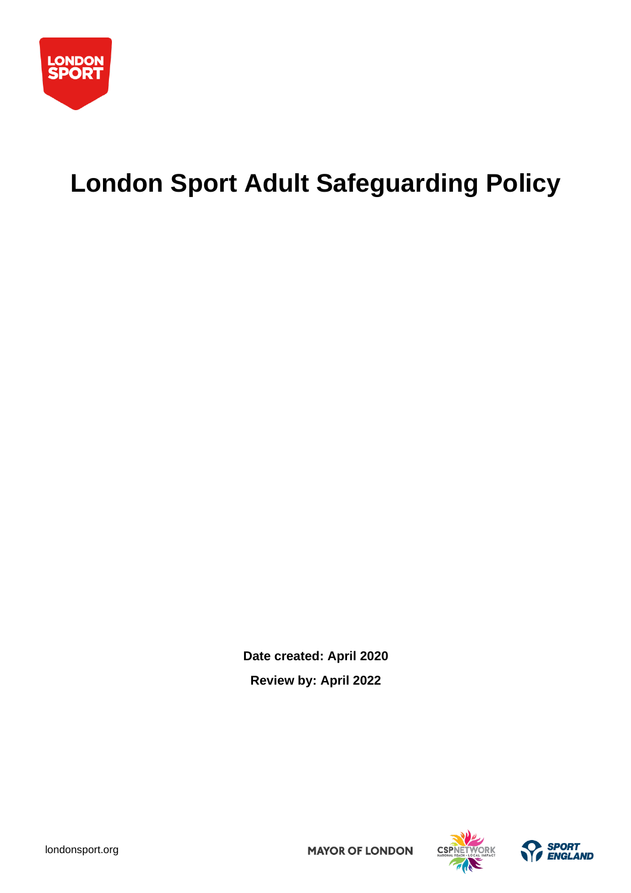

# **London Sport Adult Safeguarding Policy**

**Date created: April 2020 Review by: April 2022**





[londonsport.org](https://londonsport.org/)

**MAYOR OF LONDON**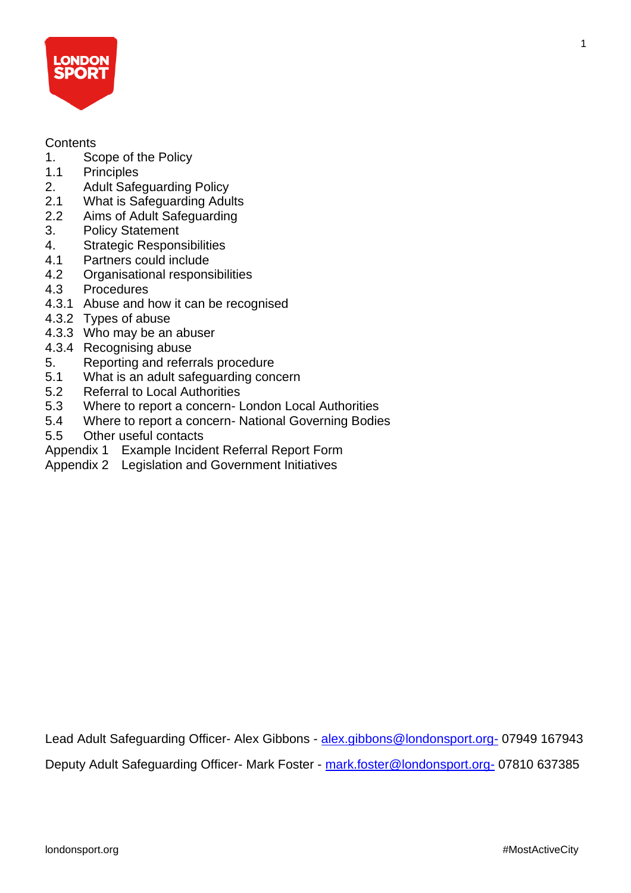

#### **Contents**

- 1. Scope of the Policy<br>1.1 Principles
- **Principles**
- 2. Adult Safeguarding Policy
- 2.1 What is Safeguarding Adults
- 2.2 Aims of Adult Safeguarding
- 3. Policy Statement
- 4. Strategic Responsibilities
- 4.1 Partners could include
- 4.2 Organisational responsibilities
- 4.3 Procedures
- 4.3.1 Abuse and how it can be recognised
- 4.3.2 Types of abuse
- 4.3.3 Who may be an abuser
- 4.3.4 Recognising abuse
- 5. Reporting and referrals procedure
- 5.1 What is an adult safeguarding concern
- 5.2 Referral to Local Authorities
- 5.3 Where to report a concern- London Local Authorities
- 5.4 Where to report a concern- National Governing Bodies
- 5.5 Other useful contacts
- Appendix 1 Example Incident Referral Report Form
- Appendix 2 Legislation and Government Initiatives

Lead Adult Safeguarding Officer- Alex Gibbons - [alex.gibbons@londonsport.org-](mailto:alex.gibbons@londonsport.org-) 07949 167943 Deputy Adult Safeguarding Officer- Mark Foster - [mark.foster@londonsport.org-](mailto:mark.foster@londonsport.org-) 07810 637385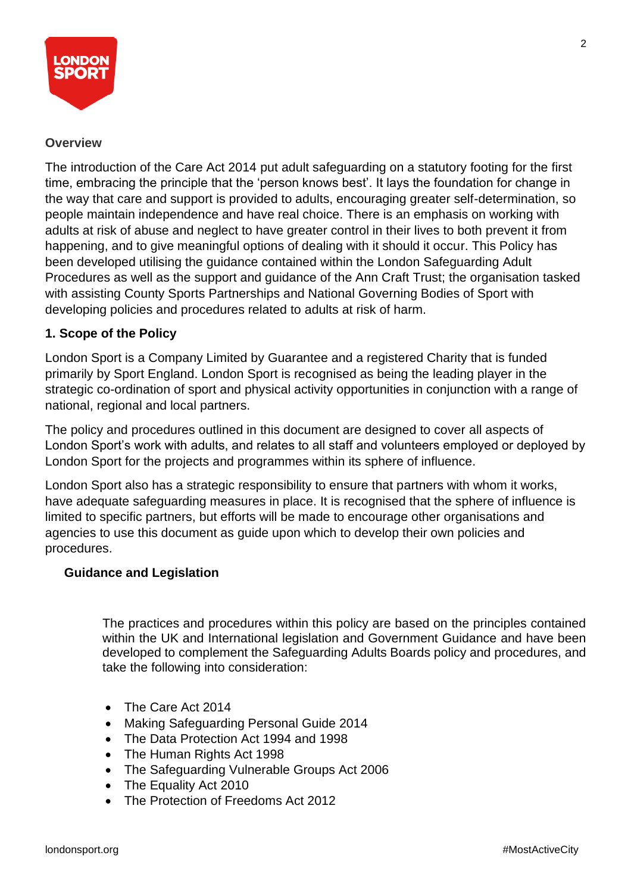

#### **Overview**

The introduction of the Care Act 2014 put adult safeguarding on a statutory footing for the first time, embracing the principle that the 'person knows best'. It lays the foundation for change in the way that care and support is provided to adults, encouraging greater self-determination, so people maintain independence and have real choice. There is an emphasis on working with adults at risk of abuse and neglect to have greater control in their lives to both prevent it from happening, and to give meaningful options of dealing with it should it occur. This Policy has been developed utilising the guidance contained within the London Safeguarding Adult Procedures as well as the support and guidance of the Ann Craft Trust; the organisation tasked with assisting County Sports Partnerships and National Governing Bodies of Sport with developing policies and procedures related to adults at risk of harm.

#### **1. Scope of the Policy**

London Sport is a Company Limited by Guarantee and a registered Charity that is funded primarily by Sport England. London Sport is recognised as being the leading player in the strategic co-ordination of sport and physical activity opportunities in conjunction with a range of national, regional and local partners.

The policy and procedures outlined in this document are designed to cover all aspects of London Sport's work with adults, and relates to all staff and volunteers employed or deployed by London Sport for the projects and programmes within its sphere of influence.

London Sport also has a strategic responsibility to ensure that partners with whom it works, have adequate safeguarding measures in place. It is recognised that the sphere of influence is limited to specific partners, but efforts will be made to encourage other organisations and agencies to use this document as guide upon which to develop their own policies and procedures.

#### **Guidance and Legislation**

The practices and procedures within this policy are based on the principles contained within the UK and International legislation and Government Guidance and have been developed to complement the Safeguarding Adults Boards policy and procedures, and take the following into consideration:

- The Care Act 2014
- Making Safeguarding Personal Guide 2014
- The Data Protection Act 1994 and 1998
- The Human Rights Act 1998
- The Safeguarding Vulnerable Groups Act 2006
- The Equality Act 2010
- The Protection of Freedoms Act 2012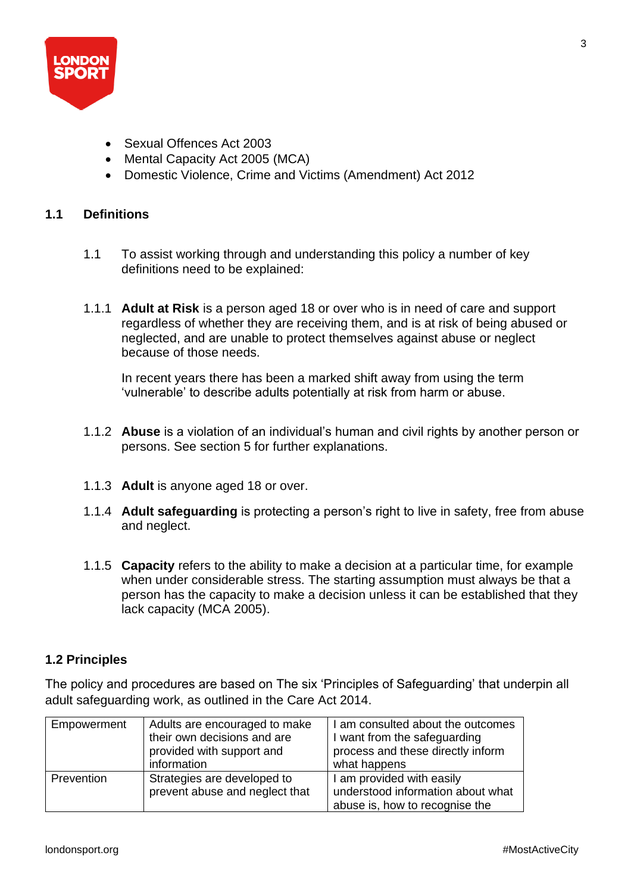

- Sexual Offences Act 2003
- Mental Capacity Act 2005 (MCA)
- Domestic Violence, Crime and Victims (Amendment) Act 2012

#### **1.1 Definitions**

- 1.1 To assist working through and understanding this policy a number of key definitions need to be explained:
- 1.1.1 **Adult at Risk** is a person aged 18 or over who is in need of care and support regardless of whether they are receiving them, and is at risk of being abused or neglected, and are unable to protect themselves against abuse or neglect because of those needs.

In recent years there has been a marked shift away from using the term 'vulnerable' to describe adults potentially at risk from harm or abuse.

- 1.1.2 **Abuse** is a violation of an individual's human and civil rights by another person or persons. See section 5 for further explanations.
- 1.1.3 **Adult** is anyone aged 18 or over.
- 1.1.4 **Adult safeguarding** is protecting a person's right to live in safety, free from abuse and neglect.
- 1.1.5 **Capacity** refers to the ability to make a decision at a particular time, for example when under considerable stress. The starting assumption must always be that a person has the capacity to make a decision unless it can be established that they lack capacity (MCA 2005).

#### **1.2 Principles**

The policy and procedures are based on The six 'Principles of Safeguarding' that underpin all adult safeguarding work, as outlined in the Care Act 2014.

| Empowerment | Adults are encouraged to make                                 | I am consulted about the outcomes                                                                |
|-------------|---------------------------------------------------------------|--------------------------------------------------------------------------------------------------|
|             | their own decisions and are                                   | I want from the safeguarding                                                                     |
|             | provided with support and                                     | process and these directly inform                                                                |
|             | information                                                   | what happens                                                                                     |
| Prevention  | Strategies are developed to<br>prevent abuse and neglect that | I am provided with easily<br>understood information about what<br>abuse is, how to recognise the |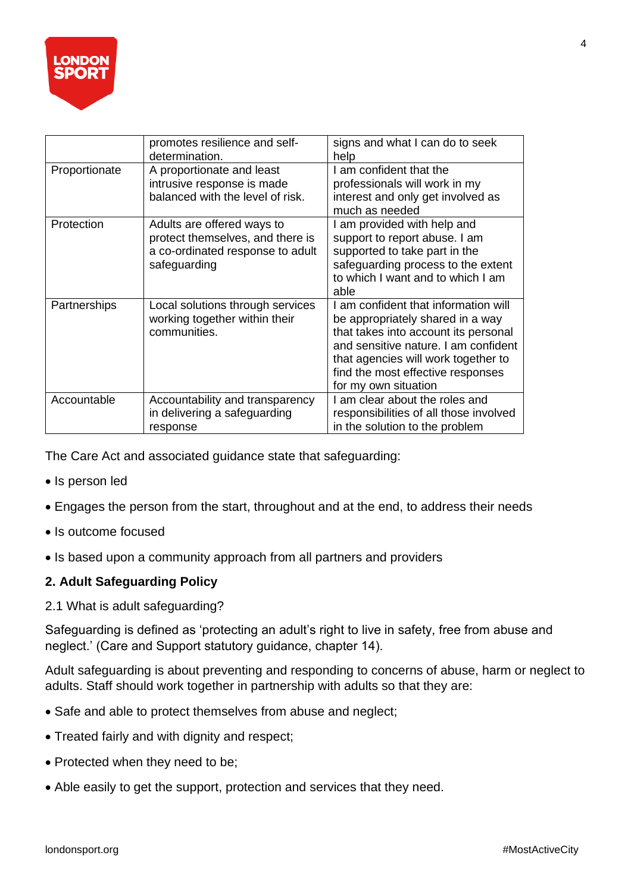

|               | promotes resilience and self-<br>determination.                                                                    | signs and what I can do to seek                                                                                                                                                                                                                            |
|---------------|--------------------------------------------------------------------------------------------------------------------|------------------------------------------------------------------------------------------------------------------------------------------------------------------------------------------------------------------------------------------------------------|
| Proportionate | A proportionate and least<br>intrusive response is made<br>balanced with the level of risk.                        | help<br>I am confident that the<br>professionals will work in my<br>interest and only get involved as<br>much as needed                                                                                                                                    |
| Protection    | Adults are offered ways to<br>protect themselves, and there is<br>a co-ordinated response to adult<br>safeguarding | I am provided with help and<br>support to report abuse. I am<br>supported to take part in the<br>safeguarding process to the extent<br>to which I want and to which I am<br>able                                                                           |
| Partnerships  | Local solutions through services<br>working together within their<br>communities.                                  | am confident that information will<br>be appropriately shared in a way<br>that takes into account its personal<br>and sensitive nature. I am confident<br>that agencies will work together to<br>find the most effective responses<br>for my own situation |
| Accountable   | Accountability and transparency<br>in delivering a safeguarding<br>response                                        | I am clear about the roles and<br>responsibilities of all those involved<br>in the solution to the problem                                                                                                                                                 |

The Care Act and associated guidance state that safeguarding:

- Is person led
- Engages the person from the start, throughout and at the end, to address their needs
- Is outcome focused
- Is based upon a community approach from all partners and providers

#### **2. Adult Safeguarding Policy**

2.1 What is adult safeguarding?

Safeguarding is defined as 'protecting an adult's right to live in safety, free from abuse and neglect.' (Care and Support statutory guidance, chapter 14).

Adult safeguarding is about preventing and responding to concerns of abuse, harm or neglect to adults. Staff should work together in partnership with adults so that they are:

- Safe and able to protect themselves from abuse and neglect;
- Treated fairly and with dignity and respect;
- Protected when they need to be;
- Able easily to get the support, protection and services that they need.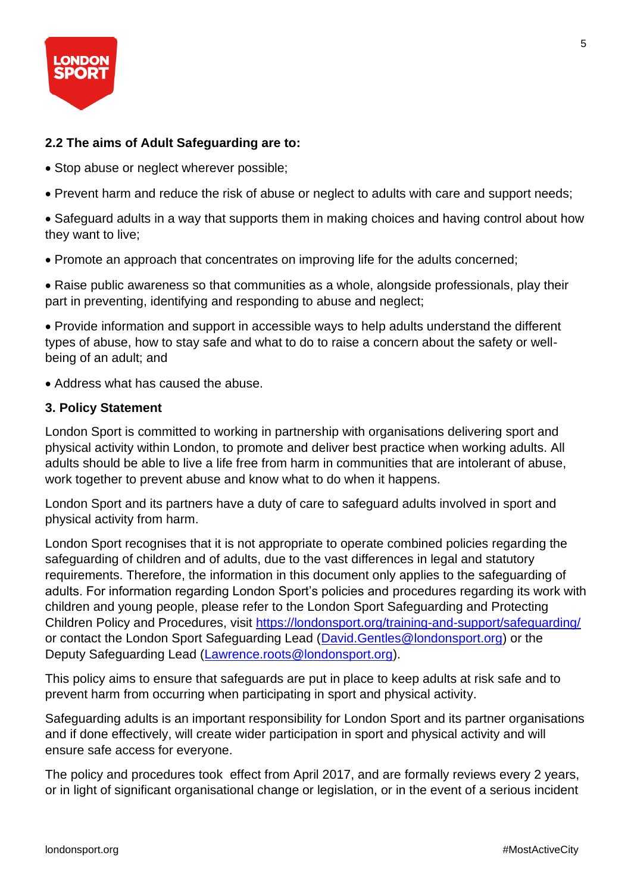

#### **2.2 The aims of Adult Safeguarding are to:**

- Stop abuse or neglect wherever possible;
- Prevent harm and reduce the risk of abuse or neglect to adults with care and support needs;
- Safeguard adults in a way that supports them in making choices and having control about how they want to live;
- Promote an approach that concentrates on improving life for the adults concerned;
- Raise public awareness so that communities as a whole, alongside professionals, play their part in preventing, identifying and responding to abuse and neglect;
- Provide information and support in accessible ways to help adults understand the different types of abuse, how to stay safe and what to do to raise a concern about the safety or wellbeing of an adult; and
- Address what has caused the abuse.

#### **3. Policy Statement**

London Sport is committed to working in partnership with organisations delivering sport and physical activity within London, to promote and deliver best practice when working adults. All adults should be able to live a life free from harm in communities that are intolerant of abuse, work together to prevent abuse and know what to do when it happens.

London Sport and its partners have a duty of care to safeguard adults involved in sport and physical activity from harm.

London Sport recognises that it is not appropriate to operate combined policies regarding the safeguarding of children and of adults, due to the vast differences in legal and statutory requirements. Therefore, the information in this document only applies to the safeguarding of adults. For information regarding London Sport's policies and procedures regarding its work with children and young people, please refer to the London Sport Safeguarding and Protecting Children Policy and Procedures, visit<https://londonsport.org/training-and-support/safeguarding/> or contact the London Sport Safeguarding Lead [\(David.Gentles@londonsport.org\)](mailto:David.Gentles@londonsport.org) or the Deputy Safeguarding Lead [\(Lawrence.roots@londonsport.org\)](mailto:Lawrence.roots@londonsport.org).

This policy aims to ensure that safeguards are put in place to keep adults at risk safe and to prevent harm from occurring when participating in sport and physical activity.

Safeguarding adults is an important responsibility for London Sport and its partner organisations and if done effectively, will create wider participation in sport and physical activity and will ensure safe access for everyone.

The policy and procedures took effect from April 2017, and are formally reviews every 2 years, or in light of significant organisational change or legislation, or in the event of a serious incident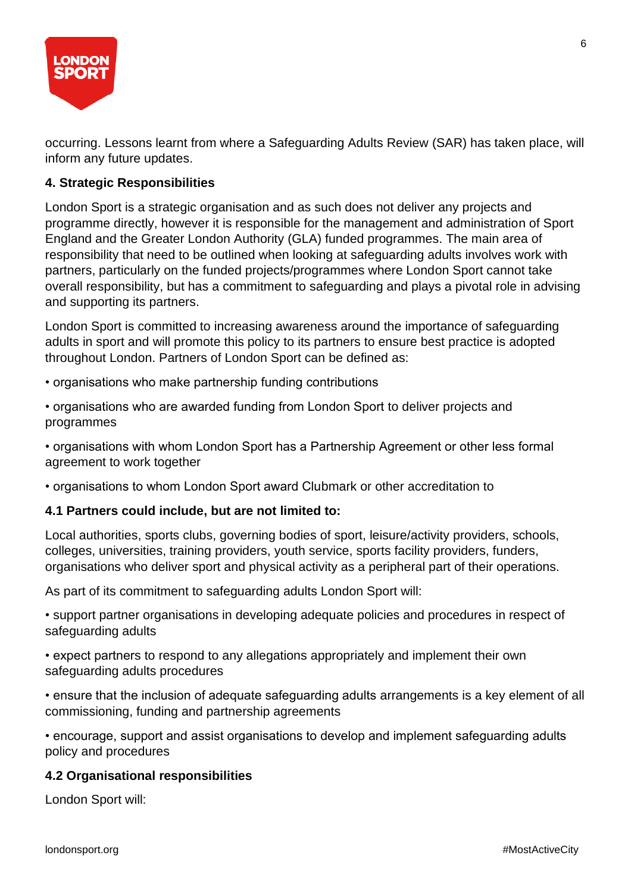

occurring. Lessons learnt from where a Safeguarding Adults Review (SAR) has taken place, will inform any future updates.

#### **4. Strategic Responsibilities**

London Sport is a strategic organisation and as such does not deliver any projects and programme directly, however it is responsible for the management and administration of Sport England and the Greater London Authority (GLA) funded programmes. The main area of responsibility that need to be outlined when looking at safeguarding adults involves work with partners, particularly on the funded projects/programmes where London Sport cannot take overall responsibility, but has a commitment to safeguarding and plays a pivotal role in advising and supporting its partners.

London Sport is committed to increasing awareness around the importance of safeguarding adults in sport and will promote this policy to its partners to ensure best practice is adopted throughout London. Partners of London Sport can be defined as:

• organisations who make partnership funding contributions

• organisations who are awarded funding from London Sport to deliver projects and programmes

• organisations with whom London Sport has a Partnership Agreement or other less formal agreement to work together

• organisations to whom London Sport award Clubmark or other accreditation to

#### **4.1 Partners could include, but are not limited to:**

Local authorities, sports clubs, governing bodies of sport, leisure/activity providers, schools, colleges, universities, training providers, youth service, sports facility providers, funders, organisations who deliver sport and physical activity as a peripheral part of their operations.

As part of its commitment to safeguarding adults London Sport will:

• support partner organisations in developing adequate policies and procedures in respect of safeguarding adults

• expect partners to respond to any allegations appropriately and implement their own safeguarding adults procedures

• ensure that the inclusion of adequate safeguarding adults arrangements is a key element of all commissioning, funding and partnership agreements

• encourage, support and assist organisations to develop and implement safeguarding adults policy and procedures

#### **4.2 Organisational responsibilities**

London Sport will: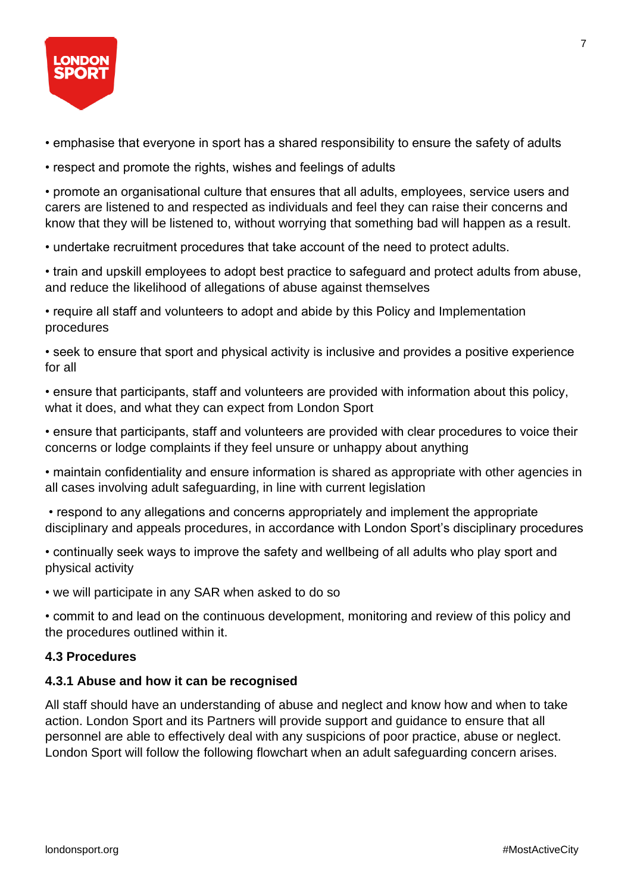

- emphasise that everyone in sport has a shared responsibility to ensure the safety of adults
- respect and promote the rights, wishes and feelings of adults

• promote an organisational culture that ensures that all adults, employees, service users and carers are listened to and respected as individuals and feel they can raise their concerns and know that they will be listened to, without worrying that something bad will happen as a result.

• undertake recruitment procedures that take account of the need to protect adults.

• train and upskill employees to adopt best practice to safeguard and protect adults from abuse, and reduce the likelihood of allegations of abuse against themselves

• require all staff and volunteers to adopt and abide by this Policy and Implementation procedures

• seek to ensure that sport and physical activity is inclusive and provides a positive experience for all

• ensure that participants, staff and volunteers are provided with information about this policy, what it does, and what they can expect from London Sport

• ensure that participants, staff and volunteers are provided with clear procedures to voice their concerns or lodge complaints if they feel unsure or unhappy about anything

• maintain confidentiality and ensure information is shared as appropriate with other agencies in all cases involving adult safeguarding, in line with current legislation

• respond to any allegations and concerns appropriately and implement the appropriate disciplinary and appeals procedures, in accordance with London Sport's disciplinary procedures

• continually seek ways to improve the safety and wellbeing of all adults who play sport and physical activity

• we will participate in any SAR when asked to do so

• commit to and lead on the continuous development, monitoring and review of this policy and the procedures outlined within it.

#### **4.3 Procedures**

#### **4.3.1 Abuse and how it can be recognised**

All staff should have an understanding of abuse and neglect and know how and when to take action. London Sport and its Partners will provide support and guidance to ensure that all personnel are able to effectively deal with any suspicions of poor practice, abuse or neglect. London Sport will follow the following flowchart when an adult safeguarding concern arises.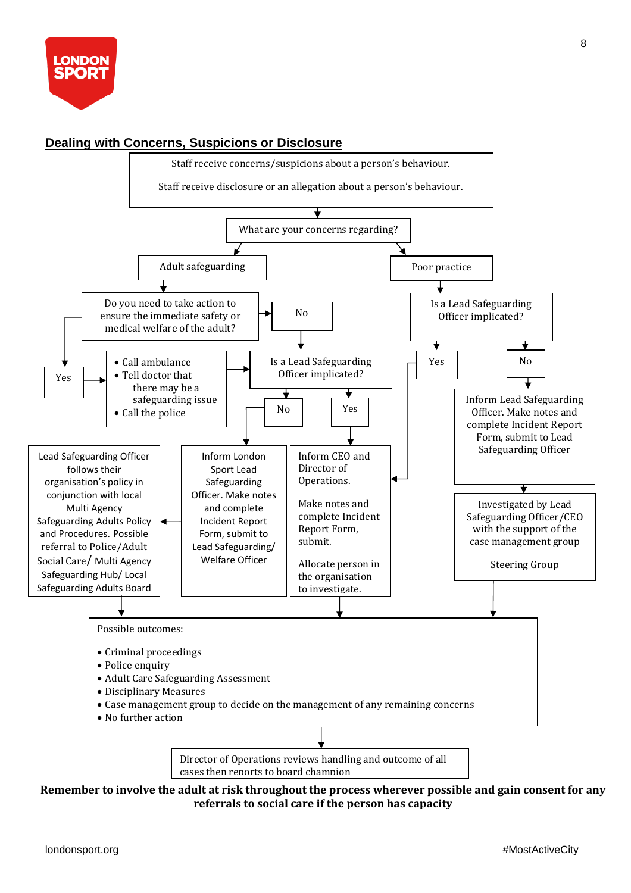

#### **Dealing with Concerns, Suspicions or Disclosure**  Staff receive concerns/suspicions about a person's behaviour. Staff receive disclosure or an allegation about a person's behaviour. What are your concerns regarding? Adult safeguarding Poor practice Do you need to take action to Is a Lead Safeguarding No ensure the immediate safety or Officer implicated? medical welfare of the adult? ∓ Yes No • Call ambulance Is a Lead Safeguarding • Tell doctor that Officer implicated? Yes there may be a ▾ ╈ Inform Lead Safeguarding safeguarding issue No Yes Officer. Make notes and • Call the police complete Incident Report Form, submit to Lead Safeguarding Officer Inform CEO and Lead Safeguarding Officer Inform London follows their Sport Lead Director of Operations. organisation's policy in Safeguarding ÷ conjunction with local Officer. Make notes Make notes and Investigated by Lead Multi Agency and complete complete Incident Safeguarding Officer/CEO Safeguarding Adults Policy Incident Report Report Form, with the support of the and Procedures. Possible Form, submit to submit. case management group referral to Police/Adult Lead Safeguarding/ Social Care/ Multi Agency Welfare Officer Allocate person in Steering Group Safeguarding Hub/ Local the organisation Safeguarding Adults Board to investigate. Possible outcomes: • Criminal proceedings • Police enquiry • Adult Care Safeguarding Assessment • Disciplinary Measures • Case management group to decide on the management of any remaining concerns • No further action Director of Operations reviews handling and outcome of all cases then reports to board champion

#### **Remember to involve the adult at risk throughout the process wherever possible and gain consent for any referrals to social care if the person has capacity**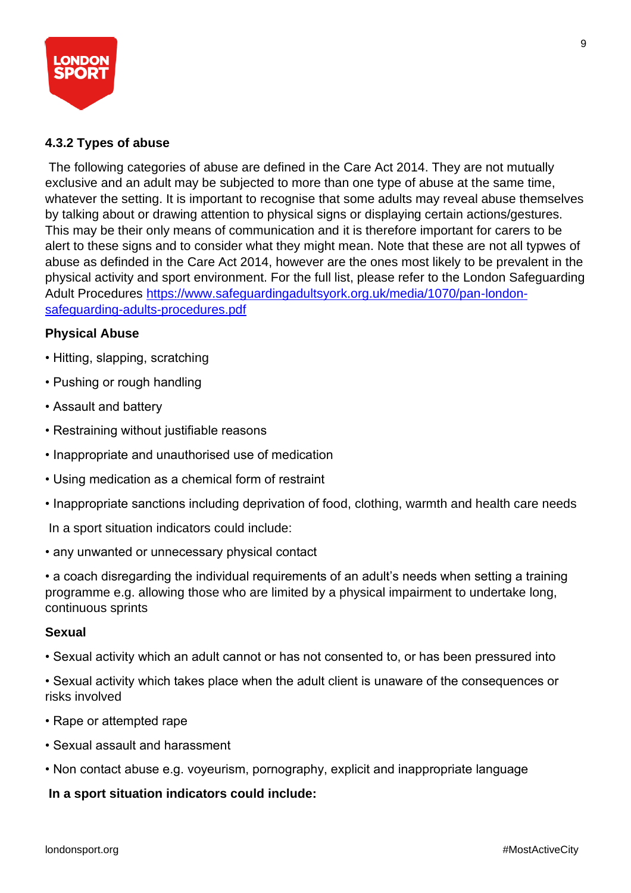

#### **4.3.2 Types of abuse**

The following categories of abuse are defined in the Care Act 2014. They are not mutually exclusive and an adult may be subjected to more than one type of abuse at the same time, whatever the setting. It is important to recognise that some adults may reveal abuse themselves by talking about or drawing attention to physical signs or displaying certain actions/gestures. This may be their only means of communication and it is therefore important for carers to be alert to these signs and to consider what they might mean. Note that these are not all typwes of abuse as definded in the Care Act 2014, however are the ones most likely to be prevalent in the physical activity and sport environment. For the full list, please refer to the London Safeguarding Adult Procedures [https://www.safeguardingadultsyork.org.uk/media/1070/pan-london](https://www.safeguardingadultsyork.org.uk/media/1070/pan-london-safeguarding-adults-procedures.pdf)[safeguarding-adults-procedures.pdf](https://www.safeguardingadultsyork.org.uk/media/1070/pan-london-safeguarding-adults-procedures.pdf)

#### **Physical Abuse**

- Hitting, slapping, scratching
- Pushing or rough handling
- Assault and battery
- Restraining without justifiable reasons
- Inappropriate and unauthorised use of medication
- Using medication as a chemical form of restraint
- Inappropriate sanctions including deprivation of food, clothing, warmth and health care needs

In a sport situation indicators could include:

• any unwanted or unnecessary physical contact

• a coach disregarding the individual requirements of an adult's needs when setting a training programme e.g. allowing those who are limited by a physical impairment to undertake long, continuous sprints

#### **Sexual**

- Sexual activity which an adult cannot or has not consented to, or has been pressured into
- Sexual activity which takes place when the adult client is unaware of the consequences or risks involved
- Rape or attempted rape
- Sexual assault and harassment
- Non contact abuse e.g. voyeurism, pornography, explicit and inappropriate language

#### **In a sport situation indicators could include:**

9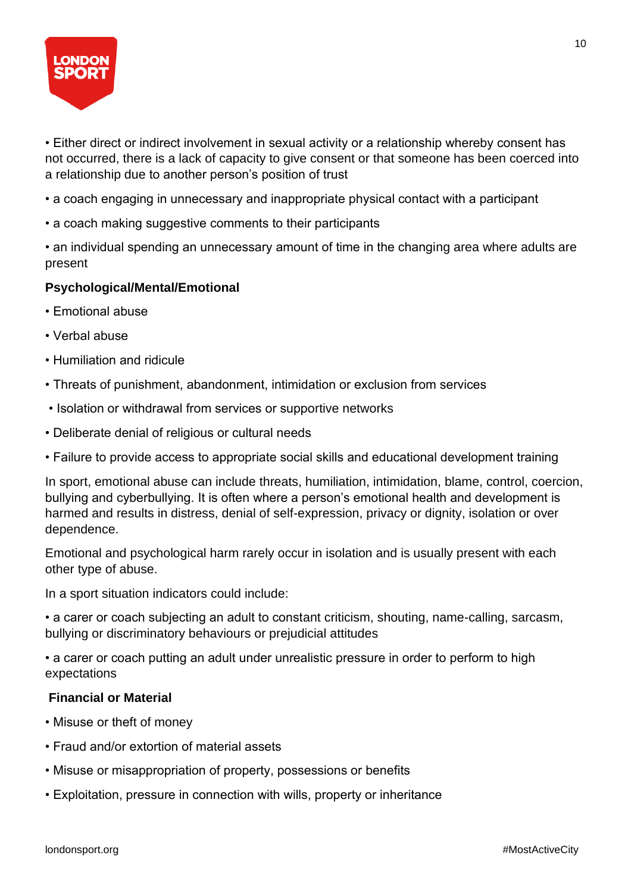

• Either direct or indirect involvement in sexual activity or a relationship whereby consent has not occurred, there is a lack of capacity to give consent or that someone has been coerced into a relationship due to another person's position of trust

- a coach engaging in unnecessary and inappropriate physical contact with a participant
- a coach making suggestive comments to their participants
- an individual spending an unnecessary amount of time in the changing area where adults are present

#### **Psychological/Mental/Emotional**

- Emotional abuse
- Verbal abuse
- Humiliation and ridicule
- Threats of punishment, abandonment, intimidation or exclusion from services
- Isolation or withdrawal from services or supportive networks
- Deliberate denial of religious or cultural needs
- Failure to provide access to appropriate social skills and educational development training

In sport, emotional abuse can include threats, humiliation, intimidation, blame, control, coercion, bullying and cyberbullying. It is often where a person's emotional health and development is harmed and results in distress, denial of self-expression, privacy or dignity, isolation or over dependence.

Emotional and psychological harm rarely occur in isolation and is usually present with each other type of abuse.

In a sport situation indicators could include:

• a carer or coach subjecting an adult to constant criticism, shouting, name-calling, sarcasm, bullying or discriminatory behaviours or prejudicial attitudes

• a carer or coach putting an adult under unrealistic pressure in order to perform to high expectations

#### **Financial or Material**

- Misuse or theft of money
- Fraud and/or extortion of material assets
- Misuse or misappropriation of property, possessions or benefits
- Exploitation, pressure in connection with wills, property or inheritance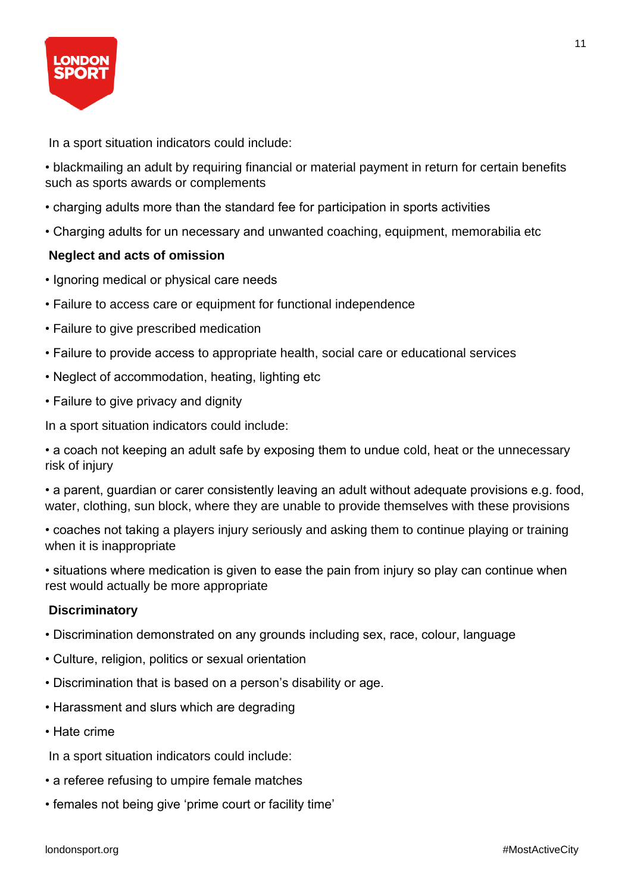

In a sport situation indicators could include:

• blackmailing an adult by requiring financial or material payment in return for certain benefits such as sports awards or complements

- charging adults more than the standard fee for participation in sports activities
- Charging adults for un necessary and unwanted coaching, equipment, memorabilia etc

#### **Neglect and acts of omission**

- Ignoring medical or physical care needs
- Failure to access care or equipment for functional independence
- Failure to give prescribed medication
- Failure to provide access to appropriate health, social care or educational services
- Neglect of accommodation, heating, lighting etc
- Failure to give privacy and dignity

In a sport situation indicators could include:

• a coach not keeping an adult safe by exposing them to undue cold, heat or the unnecessary risk of injury

• a parent, guardian or carer consistently leaving an adult without adequate provisions e.g. food, water, clothing, sun block, where they are unable to provide themselves with these provisions

• coaches not taking a players injury seriously and asking them to continue playing or training when it is inappropriate

• situations where medication is given to ease the pain from injury so play can continue when rest would actually be more appropriate

#### **Discriminatory**

- Discrimination demonstrated on any grounds including sex, race, colour, language
- Culture, religion, politics or sexual orientation
- Discrimination that is based on a person's disability or age.
- Harassment and slurs which are degrading
- Hate crime

In a sport situation indicators could include:

- a referee refusing to umpire female matches
- females not being give 'prime court or facility time'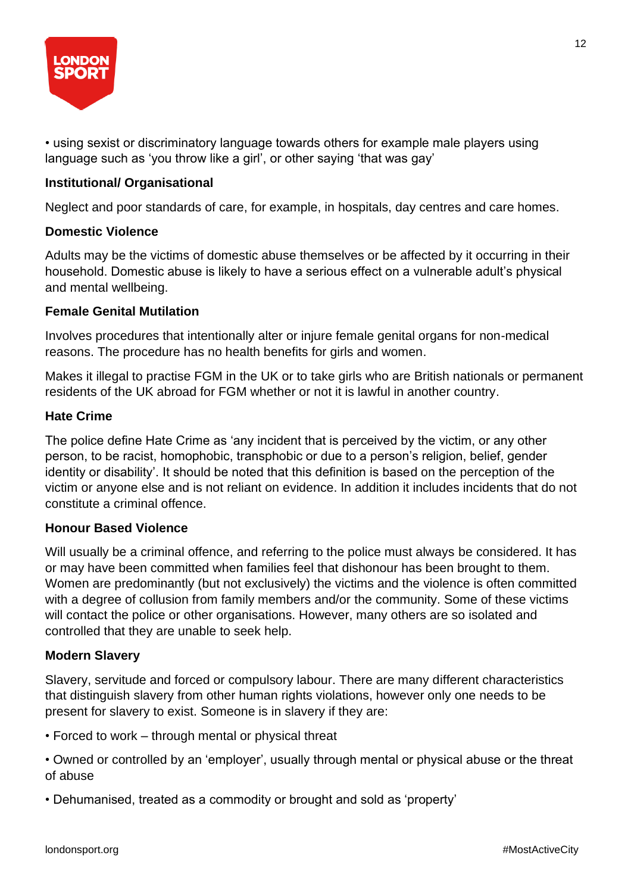

• using sexist or discriminatory language towards others for example male players using language such as 'you throw like a girl', or other saying 'that was gay'

#### **Institutional/ Organisational**

Neglect and poor standards of care, for example, in hospitals, day centres and care homes.

#### **Domestic Violence**

Adults may be the victims of domestic abuse themselves or be affected by it occurring in their household. Domestic abuse is likely to have a serious effect on a vulnerable adult's physical and mental wellbeing.

#### **Female Genital Mutilation**

Involves procedures that intentionally alter or injure female genital organs for non-medical reasons. The procedure has no health benefits for girls and women.

Makes it illegal to practise FGM in the UK or to take girls who are British nationals or permanent residents of the UK abroad for FGM whether or not it is lawful in another country.

#### **Hate Crime**

The police define Hate Crime as 'any incident that is perceived by the victim, or any other person, to be racist, homophobic, transphobic or due to a person's religion, belief, gender identity or disability'. It should be noted that this definition is based on the perception of the victim or anyone else and is not reliant on evidence. In addition it includes incidents that do not constitute a criminal offence.

#### **Honour Based Violence**

Will usually be a criminal offence, and referring to the police must always be considered. It has or may have been committed when families feel that dishonour has been brought to them. Women are predominantly (but not exclusively) the victims and the violence is often committed with a degree of collusion from family members and/or the community. Some of these victims will contact the police or other organisations. However, many others are so isolated and controlled that they are unable to seek help.

#### **Modern Slavery**

Slavery, servitude and forced or compulsory labour. There are many different characteristics that distinguish slavery from other human rights violations, however only one needs to be present for slavery to exist. Someone is in slavery if they are:

• Forced to work – through mental or physical threat

• Owned or controlled by an 'employer', usually through mental or physical abuse or the threat of abuse

• Dehumanised, treated as a commodity or brought and sold as 'property'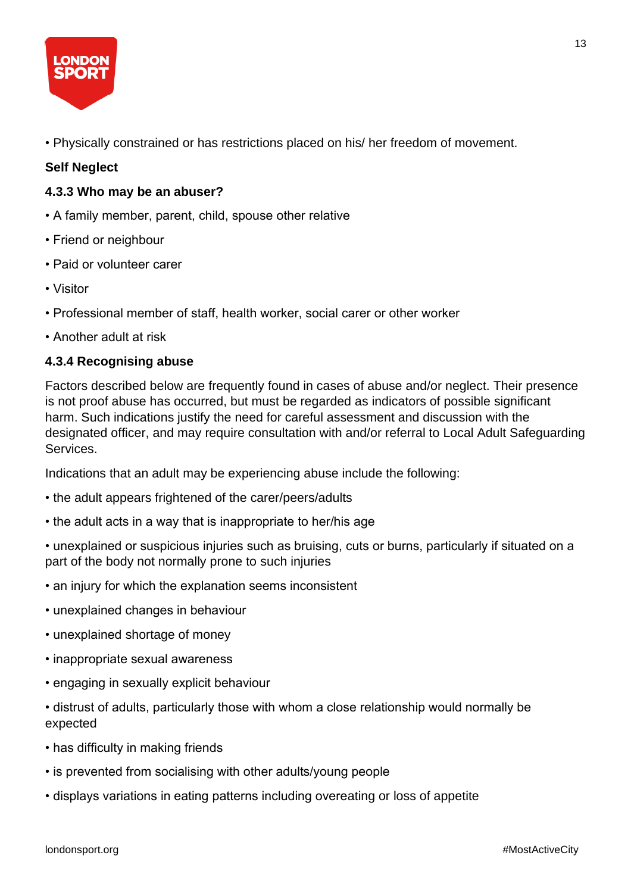

• Physically constrained or has restrictions placed on his/ her freedom of movement.

#### **Self Neglect**

#### **4.3.3 Who may be an abuser?**

- A family member, parent, child, spouse other relative
- Friend or neighbour
- Paid or volunteer carer
- Visitor
- Professional member of staff, health worker, social carer or other worker
- Another adult at risk

#### **4.3.4 Recognising abuse**

Factors described below are frequently found in cases of abuse and/or neglect. Their presence is not proof abuse has occurred, but must be regarded as indicators of possible significant harm. Such indications justify the need for careful assessment and discussion with the designated officer, and may require consultation with and/or referral to Local Adult Safeguarding Services.

Indications that an adult may be experiencing abuse include the following:

- the adult appears frightened of the carer/peers/adults
- the adult acts in a way that is inappropriate to her/his age
- unexplained or suspicious injuries such as bruising, cuts or burns, particularly if situated on a part of the body not normally prone to such injuries
- an injury for which the explanation seems inconsistent
- unexplained changes in behaviour
- unexplained shortage of money
- inappropriate sexual awareness
- engaging in sexually explicit behaviour
- distrust of adults, particularly those with whom a close relationship would normally be expected
- has difficulty in making friends
- is prevented from socialising with other adults/young people
- displays variations in eating patterns including overeating or loss of appetite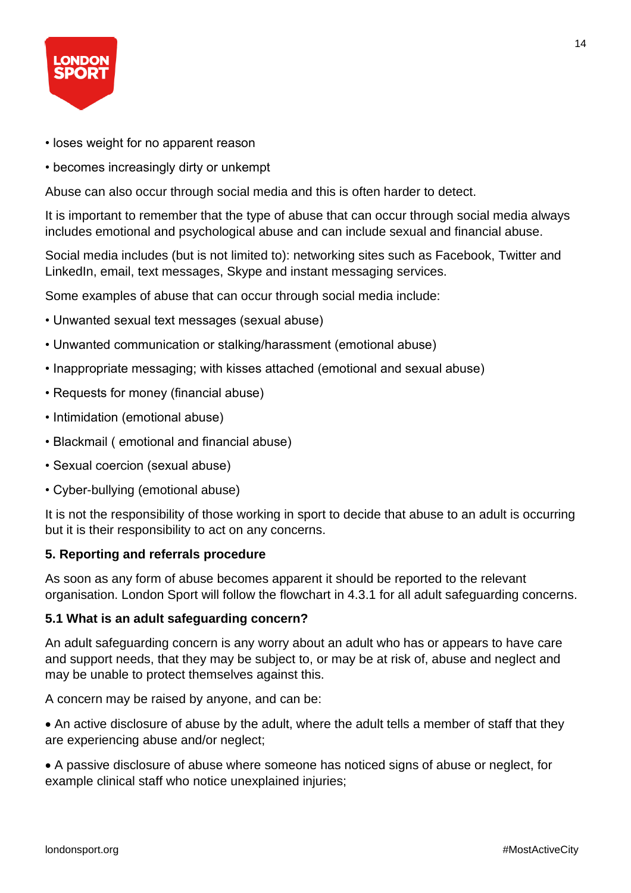

- loses weight for no apparent reason
- becomes increasingly dirty or unkempt

Abuse can also occur through social media and this is often harder to detect.

It is important to remember that the type of abuse that can occur through social media always includes emotional and psychological abuse and can include sexual and financial abuse.

Social media includes (but is not limited to): networking sites such as Facebook, Twitter and LinkedIn, email, text messages, Skype and instant messaging services.

Some examples of abuse that can occur through social media include:

- Unwanted sexual text messages (sexual abuse)
- Unwanted communication or stalking/harassment (emotional abuse)
- Inappropriate messaging; with kisses attached (emotional and sexual abuse)
- Requests for money (financial abuse)
- Intimidation (emotional abuse)
- Blackmail ( emotional and financial abuse)
- Sexual coercion (sexual abuse)
- Cyber-bullying (emotional abuse)

It is not the responsibility of those working in sport to decide that abuse to an adult is occurring but it is their responsibility to act on any concerns.

#### **5. Reporting and referrals procedure**

As soon as any form of abuse becomes apparent it should be reported to the relevant organisation. London Sport will follow the flowchart in 4.3.1 for all adult safeguarding concerns.

#### **5.1 What is an adult safeguarding concern?**

An adult safeguarding concern is any worry about an adult who has or appears to have care and support needs, that they may be subject to, or may be at risk of, abuse and neglect and may be unable to protect themselves against this.

A concern may be raised by anyone, and can be:

• An active disclosure of abuse by the adult, where the adult tells a member of staff that they are experiencing abuse and/or neglect;

• A passive disclosure of abuse where someone has noticed signs of abuse or neglect, for example clinical staff who notice unexplained injuries;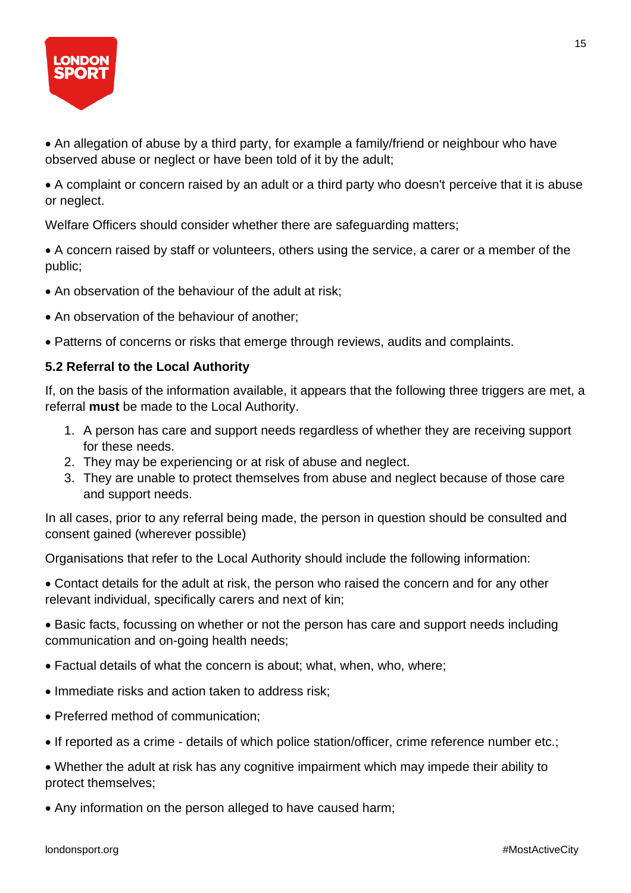

• An allegation of abuse by a third party, for example a family/friend or neighbour who have observed abuse or neglect or have been told of it by the adult;

• A complaint or concern raised by an adult or a third party who doesn't perceive that it is abuse or neglect.

Welfare Officers should consider whether there are safeguarding matters;

• A concern raised by staff or volunteers, others using the service, a carer or a member of the public;

- An observation of the behaviour of the adult at risk;
- An observation of the behaviour of another;
- Patterns of concerns or risks that emerge through reviews, audits and complaints.

#### **5.2 Referral to the Local Authority**

If, on the basis of the information available, it appears that the following three triggers are met, a referral **must** be made to the Local Authority.

- 1. A person has care and support needs regardless of whether they are receiving support for these needs.
- 2. They may be experiencing or at risk of abuse and neglect.
- 3. They are unable to protect themselves from abuse and neglect because of those care and support needs.

In all cases, prior to any referral being made, the person in question should be consulted and consent gained (wherever possible)

Organisations that refer to the Local Authority should include the following information:

• Contact details for the adult at risk, the person who raised the concern and for any other relevant individual, specifically carers and next of kin;

• Basic facts, focussing on whether or not the person has care and support needs including communication and on-going health needs;

- Factual details of what the concern is about; what, when, who, where;
- Immediate risks and action taken to address risk;
- Preferred method of communication:
- If reported as a crime details of which police station/officer, crime reference number etc.;

• Whether the adult at risk has any cognitive impairment which may impede their ability to protect themselves;

• Any information on the person alleged to have caused harm;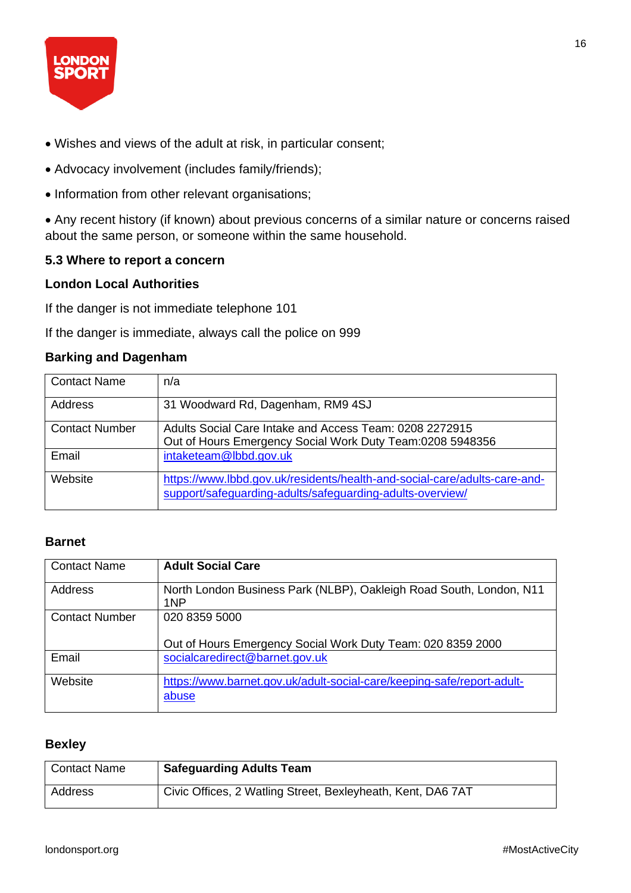

- Wishes and views of the adult at risk, in particular consent;
- Advocacy involvement (includes family/friends);
- Information from other relevant organisations;

• Any recent history (if known) about previous concerns of a similar nature or concerns raised about the same person, or someone within the same household.

#### **5.3 Where to report a concern**

#### **London Local Authorities**

If the danger is not immediate telephone 101

If the danger is immediate, always call the police on 999

#### **Barking and Dagenham**

| <b>Contact Name</b>   | n/a                                                                                                                                    |
|-----------------------|----------------------------------------------------------------------------------------------------------------------------------------|
| Address               | 31 Woodward Rd, Dagenham, RM9 4SJ                                                                                                      |
| <b>Contact Number</b> | Adults Social Care Intake and Access Team: 0208 2272915<br>Out of Hours Emergency Social Work Duty Team:0208 5948356                   |
| Email                 | intaketeam@lbbd.gov.uk                                                                                                                 |
| Website               | https://www.lbbd.gov.uk/residents/health-and-social-care/adults-care-and-<br>support/safeguarding-adults/safeguarding-adults-overview/ |

#### **Barnet**

| <b>Contact Name</b>   | <b>Adult Social Care</b>                                               |
|-----------------------|------------------------------------------------------------------------|
|                       |                                                                        |
| <b>Address</b>        | North London Business Park (NLBP), Oakleigh Road South, London, N11    |
|                       | 1NP                                                                    |
|                       |                                                                        |
| <b>Contact Number</b> | 020 8359 5000                                                          |
|                       |                                                                        |
|                       | Out of Hours Emergency Social Work Duty Team: 020 8359 2000            |
|                       |                                                                        |
| Email                 | socialcaredirect@barnet.gov.uk                                         |
|                       |                                                                        |
| Website               | https://www.barnet.gov.uk/adult-social-care/keeping-safe/report-adult- |
|                       |                                                                        |
|                       | abuse                                                                  |
|                       |                                                                        |

#### **Bexley**

| <b>Contact Name</b> | <b>Safeguarding Adults Team</b>                             |
|---------------------|-------------------------------------------------------------|
| Address             | Civic Offices, 2 Watling Street, Bexleyheath, Kent, DA6 7AT |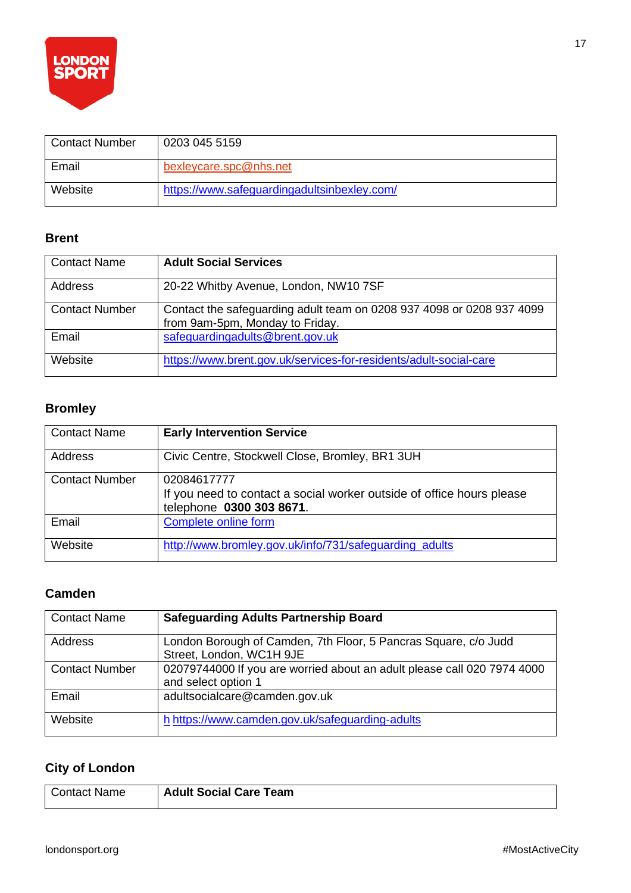

| <b>Contact Number</b> | 0203 045 5159                               |
|-----------------------|---------------------------------------------|
| Email                 | bexleycare.spc@nhs.net                      |
| Website               | https://www.safeguardingadultsinbexley.com/ |

#### **Brent**

| <b>Contact Name</b>   | <b>Adult Social Services</b>                                                                             |
|-----------------------|----------------------------------------------------------------------------------------------------------|
| Address               | 20-22 Whitby Avenue, London, NW10 7SF                                                                    |
| <b>Contact Number</b> | Contact the safeguarding adult team on 0208 937 4098 or 0208 937 4099<br>from 9am-5pm, Monday to Friday. |
| Email                 | safeguardingadults@brent.gov.uk                                                                          |
| Website               | https://www.brent.gov.uk/services-for-residents/adult-social-care                                        |

### **Bromley**

| <b>Contact Name</b>   | <b>Early Intervention Service</b>                                                                                |
|-----------------------|------------------------------------------------------------------------------------------------------------------|
| Address               | Civic Centre, Stockwell Close, Bromley, BR1 3UH                                                                  |
| <b>Contact Number</b> | 02084617777<br>If you need to contact a social worker outside of office hours please<br>telephone 0300 303 8671. |
| Email                 | Complete online form                                                                                             |
| Website               | http://www.bromley.gov.uk/info/731/safeguarding adults                                                           |

#### **Camden**

| <b>Contact Name</b>   | <b>Safeguarding Adults Partnership Board</b>                                                   |
|-----------------------|------------------------------------------------------------------------------------------------|
| Address               | London Borough of Camden, 7th Floor, 5 Pancras Square, c/o Judd<br>Street, London, WC1H 9JE    |
| <b>Contact Number</b> | 02079744000 If you are worried about an adult please call 020 7974 4000<br>and select option 1 |
| Email                 | adultsocialcare@camden.gov.uk                                                                  |
| Website               | h https://www.camden.gov.uk/safeguarding-adults                                                |

### **City of London**

| I Contact Name | <b>Adult Social Care Team</b> |
|----------------|-------------------------------|
|----------------|-------------------------------|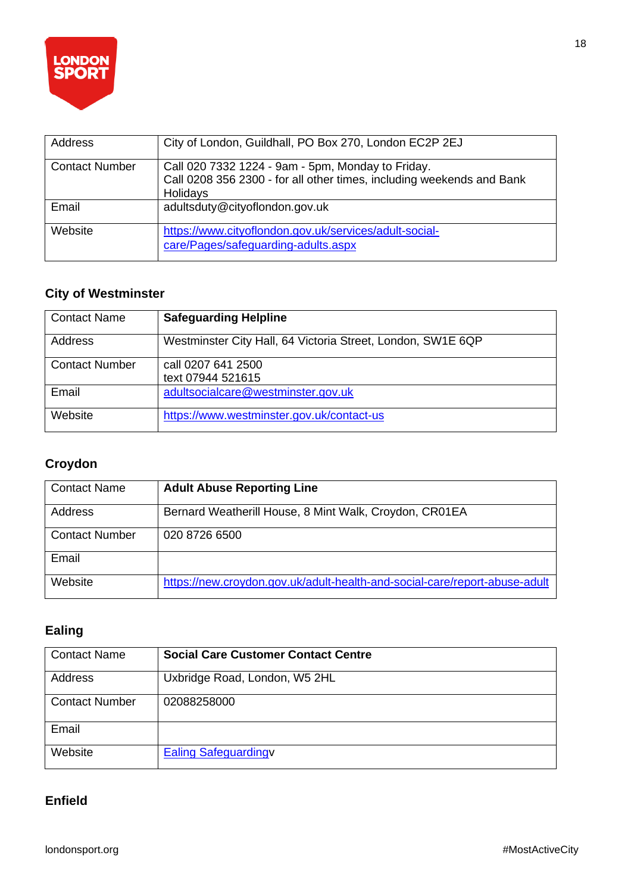

| Address               | City of London, Guildhall, PO Box 270, London EC2P 2EJ                                                                                 |
|-----------------------|----------------------------------------------------------------------------------------------------------------------------------------|
| <b>Contact Number</b> | Call 020 7332 1224 - 9am - 5pm, Monday to Friday.<br>Call 0208 356 2300 - for all other times, including weekends and Bank<br>Holidays |
| Email                 | adultsduty@cityoflondon.gov.uk                                                                                                         |
| Website               | https://www.cityoflondon.gov.uk/services/adult-social-<br>care/Pages/safeguarding-adults.aspx                                          |

#### **City of Westminster**

| <b>Contact Name</b>   | <b>Safeguarding Helpline</b>                                |
|-----------------------|-------------------------------------------------------------|
| Address               | Westminster City Hall, 64 Victoria Street, London, SW1E 6QP |
| <b>Contact Number</b> | call 0207 641 2500<br>text 07944 521615                     |
| Email                 | adultsocialcare@westminster.gov.uk                          |
| Website               | https://www.westminster.gov.uk/contact-us                   |

### **Croydon**

| <b>Contact Name</b>   | <b>Adult Abuse Reporting Line</b>                                          |
|-----------------------|----------------------------------------------------------------------------|
| Address               | Bernard Weatherill House, 8 Mint Walk, Croydon, CR01EA                     |
| <b>Contact Number</b> | 020 8726 6500                                                              |
| Email                 |                                                                            |
| Website               | https://new.croydon.gov.uk/adult-health-and-social-care/report-abuse-adult |

#### **Ealing**

| <b>Contact Name</b>   | <b>Social Care Customer Contact Centre</b> |
|-----------------------|--------------------------------------------|
| Address               | Uxbridge Road, London, W5 2HL              |
| <b>Contact Number</b> | 02088258000                                |
| Email                 |                                            |
| Website               | <b>Ealing Safeguardingv</b>                |

#### **Enfield**

18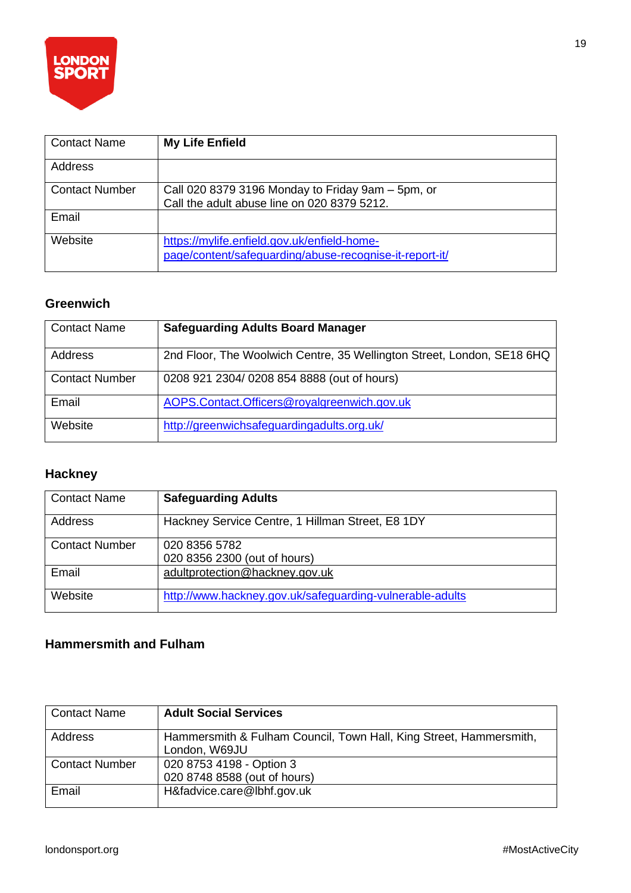

| <b>Contact Name</b>   | <b>My Life Enfield</b>                                                                                 |
|-----------------------|--------------------------------------------------------------------------------------------------------|
| Address               |                                                                                                        |
| <b>Contact Number</b> | Call 020 8379 3196 Monday to Friday 9am – 5pm, or<br>Call the adult abuse line on 020 8379 5212.       |
| Email                 |                                                                                                        |
| Website               | https://mylife.enfield.gov.uk/enfield-home-<br>page/content/safeguarding/abuse-recognise-it-report-it/ |

#### **Greenwich**

| <b>Contact Name</b>   | <b>Safeguarding Adults Board Manager</b>                               |
|-----------------------|------------------------------------------------------------------------|
| Address               | 2nd Floor, The Woolwich Centre, 35 Wellington Street, London, SE18 6HQ |
| <b>Contact Number</b> | 0208 921 2304/0208 854 8888 (out of hours)                             |
| Email                 | AOPS.Contact.Officers@royalgreenwich.gov.uk                            |
| Website               | http://greenwichsafeguardingadults.org.uk/                             |

### **Hackney**

| <b>Contact Name</b>   | <b>Safeguarding Adults</b>                               |
|-----------------------|----------------------------------------------------------|
| Address               | Hackney Service Centre, 1 Hillman Street, E8 1DY         |
| <b>Contact Number</b> | 020 8356 5782                                            |
|                       | 020 8356 2300 (out of hours)                             |
| Email                 | adultprotection@hackney.gov.uk                           |
| Website               | http://www.hackney.gov.uk/safeguarding-vulnerable-adults |

#### **Hammersmith and Fulham**

| <b>Contact Name</b>   | <b>Adult Social Services</b>                                                        |
|-----------------------|-------------------------------------------------------------------------------------|
| Address               | Hammersmith & Fulham Council, Town Hall, King Street, Hammersmith,<br>London, W69JU |
| <b>Contact Number</b> | 020 8753 4198 - Option 3<br>020 8748 8588 (out of hours)                            |
| Email                 | H&fadvice.care@lbhf.gov.uk                                                          |

19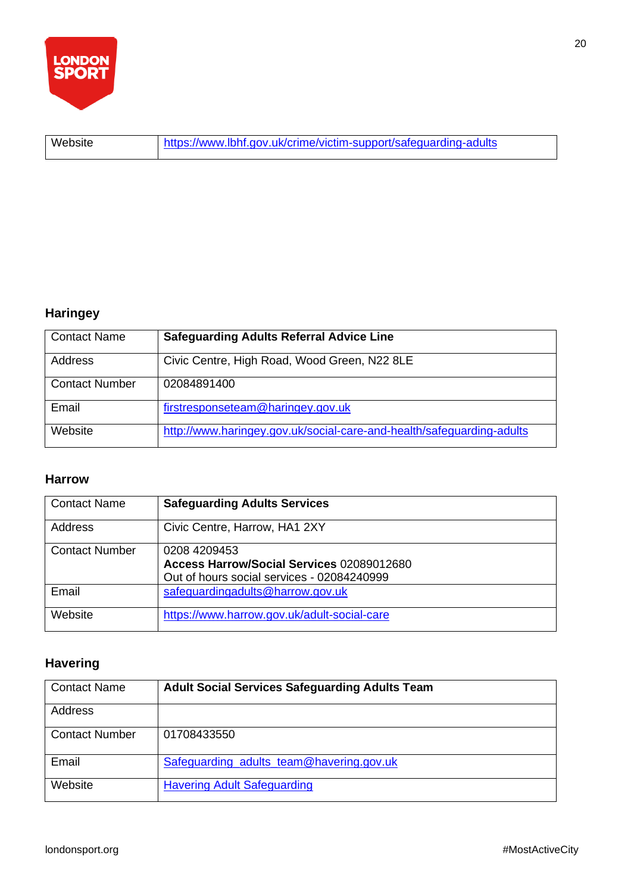

Website <https://www.lbhf.gov.uk/crime/victim-support/safeguarding-adults>

### **Haringey**

| <b>Contact Name</b>   | <b>Safeguarding Adults Referral Advice Line</b>                       |
|-----------------------|-----------------------------------------------------------------------|
| Address               | Civic Centre, High Road, Wood Green, N22 8LE                          |
| <b>Contact Number</b> | 02084891400                                                           |
| Email                 | firstresponseteam@haringey.gov.uk                                     |
| Website               | http://www.haringey.gov.uk/social-care-and-health/safeguarding-adults |

#### **Harrow**

| <b>Contact Name</b>   | <b>Safeguarding Adults Services</b>                                                                     |
|-----------------------|---------------------------------------------------------------------------------------------------------|
| Address               | Civic Centre, Harrow, HA1 2XY                                                                           |
| <b>Contact Number</b> | 0208 4209453<br>Access Harrow/Social Services 02089012680<br>Out of hours social services - 02084240999 |
| Email                 | safequardingadults@harrow.gov.uk                                                                        |
| Website               | https://www.harrow.gov.uk/adult-social-care                                                             |

### **Havering**

| <b>Contact Name</b>   | <b>Adult Social Services Safeguarding Adults Team</b> |
|-----------------------|-------------------------------------------------------|
| Address               |                                                       |
| <b>Contact Number</b> | 01708433550                                           |
| Email                 | Safeguarding_adults_team@havering.gov.uk              |
| Website               | <b>Havering Adult Safeguarding</b>                    |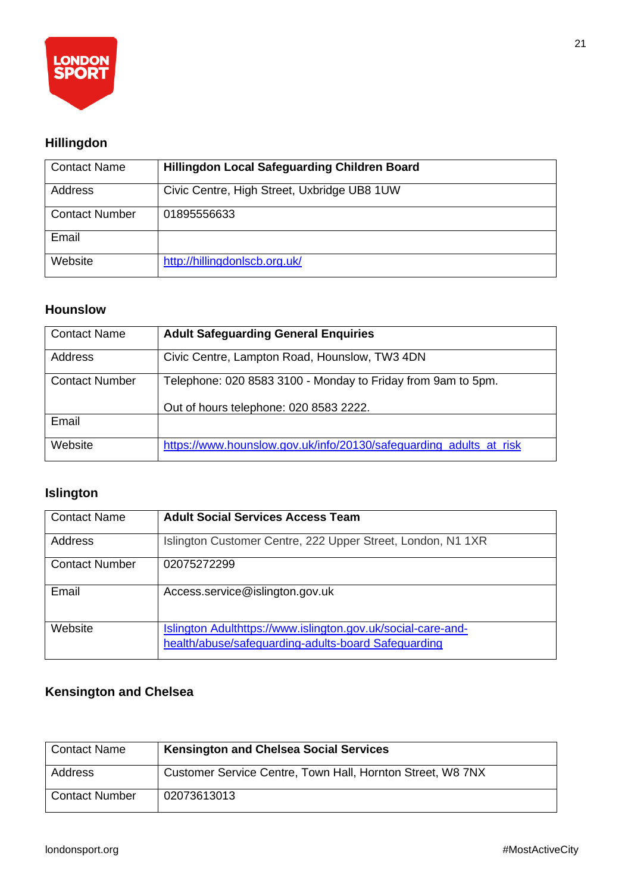

### **Hillingdon**

| <b>Contact Name</b>   | <b>Hillingdon Local Safeguarding Children Board</b> |
|-----------------------|-----------------------------------------------------|
| Address               | Civic Centre, High Street, Uxbridge UB8 1UW         |
| <b>Contact Number</b> | 01895556633                                         |
| Email                 |                                                     |
| Website               | http://hillingdonlscb.org.uk/                       |

#### **Hounslow**

| Contact Name   | <b>Adult Safeguarding General Enquiries</b>                        |
|----------------|--------------------------------------------------------------------|
| Address        | Civic Centre, Lampton Road, Hounslow, TW3 4DN                      |
| Contact Number | Telephone: 020 8583 3100 - Monday to Friday from 9am to 5pm.       |
|                | Out of hours telephone: 020 8583 2222.                             |
| Email          |                                                                    |
| Website        | https://www.hounslow.gov.uk/info/20130/safeguarding_adults_at_risk |

### **Islington**

| <b>Contact Name</b>   | <b>Adult Social Services Access Team</b>                                                                            |
|-----------------------|---------------------------------------------------------------------------------------------------------------------|
| <b>Address</b>        | Islington Customer Centre, 222 Upper Street, London, N1 1XR                                                         |
| <b>Contact Number</b> | 02075272299                                                                                                         |
| Email                 | Access.service@islington.gov.uk                                                                                     |
| Website               | Islington Adulthttps://www.islington.gov.uk/social-care-and-<br>health/abuse/safeguarding-adults-board Safeguarding |

### **Kensington and Chelsea**

| <b>Contact Name</b>   | <b>Kensington and Chelsea Social Services</b>              |
|-----------------------|------------------------------------------------------------|
| Address               | Customer Service Centre, Town Hall, Hornton Street, W8 7NX |
| <b>Contact Number</b> | 02073613013                                                |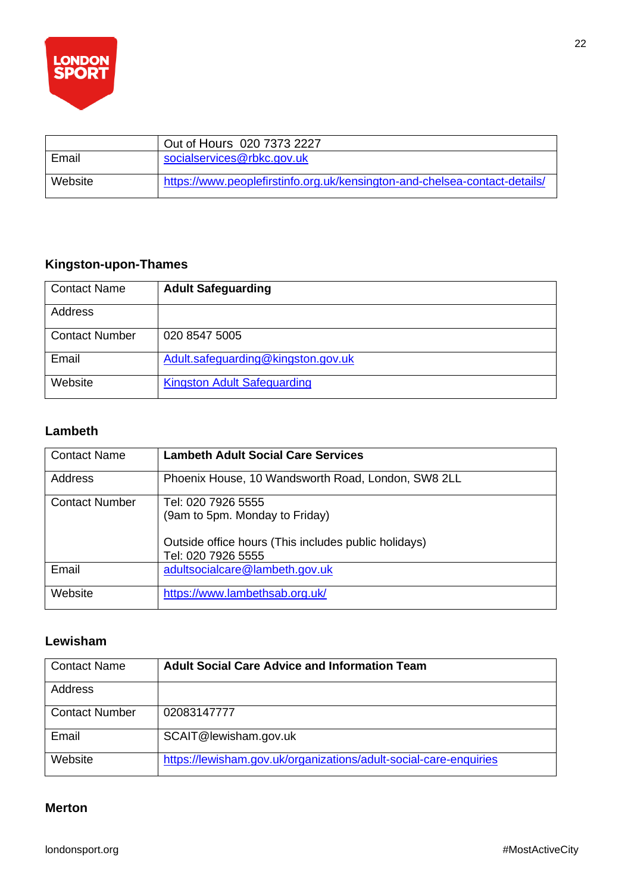

|         | Out of Hours 020 7373 2227                                                 |
|---------|----------------------------------------------------------------------------|
| Email   | socialservices@rbkc.gov.uk                                                 |
| Website | https://www.peoplefirstinfo.org.uk/kensington-and-chelsea-contact-details/ |

### **Kingston-upon-Thames**

| <b>Contact Name</b>   | <b>Adult Safeguarding</b>          |
|-----------------------|------------------------------------|
| Address               |                                    |
| <b>Contact Number</b> | 020 8547 5005                      |
| Email                 | Adult.safeguarding@kingston.gov.uk |
| Website               | <b>Kingston Adult Safeguarding</b> |

#### **Lambeth**

| <b>Contact Name</b>   | <b>Lambeth Adult Social Care Services</b>                                                                                          |
|-----------------------|------------------------------------------------------------------------------------------------------------------------------------|
| Address               | Phoenix House, 10 Wandsworth Road, London, SW8 2LL                                                                                 |
| <b>Contact Number</b> | Tel: 020 7926 5555<br>(9am to 5pm. Monday to Friday)<br>Outside office hours (This includes public holidays)<br>Tel: 020 7926 5555 |
| Email                 | adultsocialcare@lambeth.gov.uk                                                                                                     |
| Website               | https://www.lambethsab.org.uk/                                                                                                     |

#### **Lewisham**

| <b>Contact Name</b>   | <b>Adult Social Care Advice and Information Team</b>              |
|-----------------------|-------------------------------------------------------------------|
| Address               |                                                                   |
| <b>Contact Number</b> | 02083147777                                                       |
| Email                 | SCAIT@lewisham.gov.uk                                             |
| Website               | https://lewisham.gov.uk/organizations/adult-social-care-enquiries |

#### **Merton**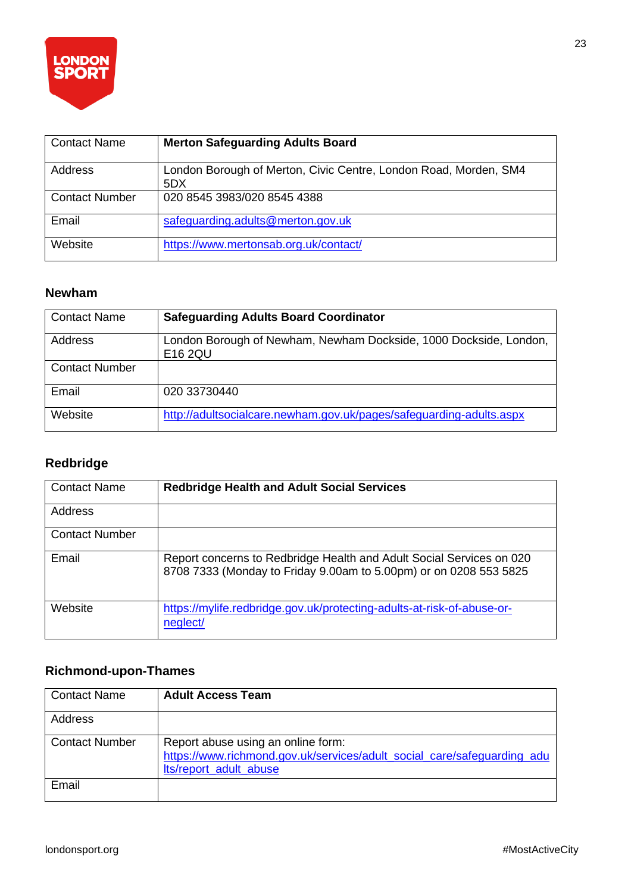

| <b>Contact Name</b>   | <b>Merton Safeguarding Adults Board</b>                                 |
|-----------------------|-------------------------------------------------------------------------|
| Address               | London Borough of Merton, Civic Centre, London Road, Morden, SM4<br>5DX |
| <b>Contact Number</b> | 020 8545 3983/020 8545 4388                                             |
| Email                 | safeguarding.adults@merton.gov.uk                                       |
| Website               | https://www.mertonsab.org.uk/contact/                                   |

#### **Newham**

| <b>Contact Name</b>   | <b>Safeguarding Adults Board Coordinator</b>                                 |
|-----------------------|------------------------------------------------------------------------------|
| <b>Address</b>        | London Borough of Newham, Newham Dockside, 1000 Dockside, London,<br>E16 2QU |
| <b>Contact Number</b> |                                                                              |
| Email                 | 020 33730440                                                                 |
| Website               | http://adultsocialcare.newham.gov.uk/pages/safeguarding-adults.aspx          |

### **Redbridge**

| <b>Contact Name</b>   | <b>Redbridge Health and Adult Social Services</b>                                                                                         |
|-----------------------|-------------------------------------------------------------------------------------------------------------------------------------------|
| Address               |                                                                                                                                           |
| <b>Contact Number</b> |                                                                                                                                           |
| Email                 | Report concerns to Redbridge Health and Adult Social Services on 020<br>8708 7333 (Monday to Friday 9.00am to 5.00pm) or on 0208 553 5825 |
| Website               | https://mylife.redbridge.gov.uk/protecting-adults-at-risk-of-abuse-or-<br>neglect/                                                        |

### **Richmond-upon-Thames**

| <b>Contact Name</b>   | <b>Adult Access Team</b>                                                                                                                |
|-----------------------|-----------------------------------------------------------------------------------------------------------------------------------------|
| Address               |                                                                                                                                         |
| <b>Contact Number</b> | Report abuse using an online form:<br>https://www.richmond.gov.uk/services/adult_social_care/safeguarding_adu<br>Its/report_adult_abuse |
| Email                 |                                                                                                                                         |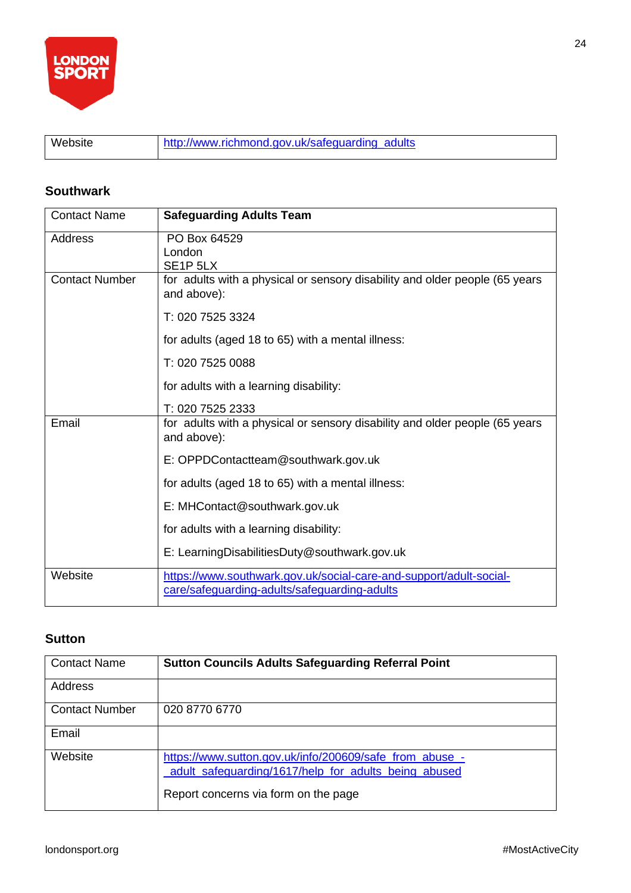

Website [http://www.richmond.gov.uk/safeguarding\\_adults](http://www.richmond.gov.uk/safeguarding_adults)

#### **Southwark**

| <b>Contact Name</b>   | <b>Safeguarding Adults Team</b>                                                                                    |
|-----------------------|--------------------------------------------------------------------------------------------------------------------|
| Address               | PO Box 64529<br>London<br>SE <sub>1</sub> P <sub>5LX</sub>                                                         |
| <b>Contact Number</b> | for adults with a physical or sensory disability and older people (65 years<br>and above):                         |
|                       | T: 020 7525 3324                                                                                                   |
|                       | for adults (aged 18 to 65) with a mental illness:                                                                  |
|                       | T: 020 7525 0088                                                                                                   |
|                       | for adults with a learning disability:                                                                             |
|                       | T: 020 7525 2333                                                                                                   |
| Email                 | for adults with a physical or sensory disability and older people (65 years<br>and above):                         |
|                       | E: OPPDContactteam@southwark.gov.uk                                                                                |
|                       | for adults (aged 18 to 65) with a mental illness:                                                                  |
|                       | E: MHContact@southwark.gov.uk                                                                                      |
|                       | for adults with a learning disability:                                                                             |
|                       | E: Learning Disabilities Duty@southwark.gov.uk                                                                     |
| Website               | https://www.southwark.gov.uk/social-care-and-support/adult-social-<br>care/safeguarding-adults/safeguarding-adults |

#### **Sutton**

| <b>Contact Name</b>   | <b>Sutton Councils Adults Safeguarding Referral Point</b>                                                                                               |
|-----------------------|---------------------------------------------------------------------------------------------------------------------------------------------------------|
| Address               |                                                                                                                                                         |
| <b>Contact Number</b> | 020 8770 6770                                                                                                                                           |
| Email                 |                                                                                                                                                         |
| Website               | https://www.sutton.gov.uk/info/200609/safe_from_abuse_-<br>adult_safeguarding/1617/help_for_adults_being_abused<br>Report concerns via form on the page |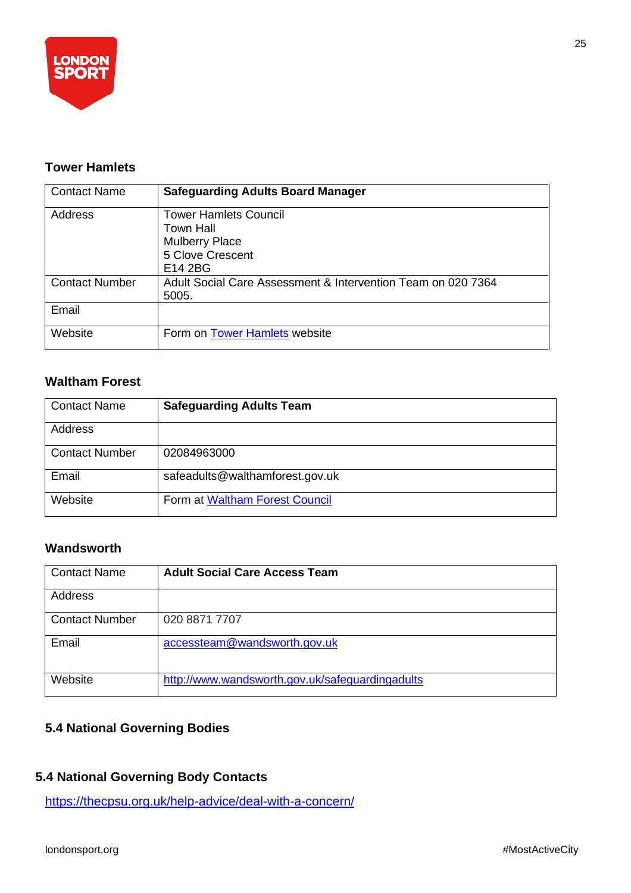

#### **Tower Hamlets**

| <b>Contact Name</b>   | <b>Safeguarding Adults Board Manager</b>                                                          |
|-----------------------|---------------------------------------------------------------------------------------------------|
| Address               | <b>Tower Hamlets Council</b><br>Town Hall<br><b>Mulberry Place</b><br>5 Clove Crescent<br>E14 2BG |
| <b>Contact Number</b> | Adult Social Care Assessment & Intervention Team on 020 7364<br>5005.                             |
| Email                 |                                                                                                   |
| Website               | Form on Tower Hamlets website                                                                     |

#### **Waltham Forest**

| <b>Contact Name</b>   | <b>Safeguarding Adults Team</b> |
|-----------------------|---------------------------------|
| Address               |                                 |
| <b>Contact Number</b> | 02084963000                     |
| Email                 | safeadults@walthamforest.gov.uk |
| Website               | Form at Waltham Forest Council  |

#### **Wandsworth**

| <b>Contact Name</b>   | <b>Adult Social Care Access Team</b>            |
|-----------------------|-------------------------------------------------|
| Address               |                                                 |
| <b>Contact Number</b> | 020 8871 7707                                   |
| Email                 | accessteam@wandsworth.gov.uk                    |
| Website               | http://www.wandsworth.gov.uk/safeguardingadults |

### **5.4 National Governing Bodies**

### **5.4 National Governing Body Contacts**

<https://thecpsu.org.uk/help-advice/deal-with-a-concern/>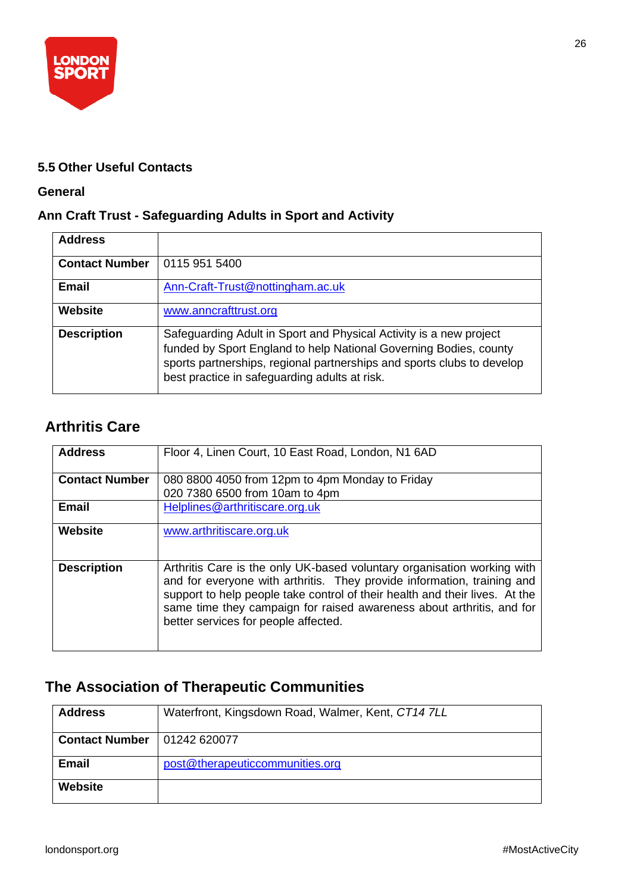

#### **5.5 Other Useful Contacts**

#### **General**

#### **Ann Craft Trust - Safeguarding Adults in Sport and Activity**

| <b>Address</b>        |                                                                                                                                                                                                                                                                    |
|-----------------------|--------------------------------------------------------------------------------------------------------------------------------------------------------------------------------------------------------------------------------------------------------------------|
| <b>Contact Number</b> | 0115 951 5400                                                                                                                                                                                                                                                      |
| <b>Email</b>          | Ann-Craft-Trust@nottingham.ac.uk                                                                                                                                                                                                                                   |
| <b>Website</b>        | www.anncrafttrust.org                                                                                                                                                                                                                                              |
| <b>Description</b>    | Safeguarding Adult in Sport and Physical Activity is a new project<br>funded by Sport England to help National Governing Bodies, county<br>sports partnerships, regional partnerships and sports clubs to develop<br>best practice in safeguarding adults at risk. |

### **Arthritis Care**

| <b>Address</b>        | Floor 4, Linen Court, 10 East Road, London, N1 6AD                                                                                                                                                                                                                                                                                                 |
|-----------------------|----------------------------------------------------------------------------------------------------------------------------------------------------------------------------------------------------------------------------------------------------------------------------------------------------------------------------------------------------|
| <b>Contact Number</b> | 080 8800 4050 from 12pm to 4pm Monday to Friday                                                                                                                                                                                                                                                                                                    |
|                       | 020 7380 6500 from 10am to 4pm                                                                                                                                                                                                                                                                                                                     |
| <b>Email</b>          | Helplines@arthritiscare.org.uk                                                                                                                                                                                                                                                                                                                     |
| Website               | www.arthritiscare.org.uk                                                                                                                                                                                                                                                                                                                           |
| <b>Description</b>    | Arthritis Care is the only UK-based voluntary organisation working with<br>and for everyone with arthritis. They provide information, training and<br>support to help people take control of their health and their lives. At the<br>same time they campaign for raised awareness about arthritis, and for<br>better services for people affected. |

### **The Association of Therapeutic Communities**

| <b>Address</b>        | Waterfront, Kingsdown Road, Walmer, Kent, CT14 7LL |
|-----------------------|----------------------------------------------------|
| <b>Contact Number</b> | 01242 620077                                       |
| <b>Email</b>          | post@therapeuticcommunities.org                    |
| <b>Website</b>        |                                                    |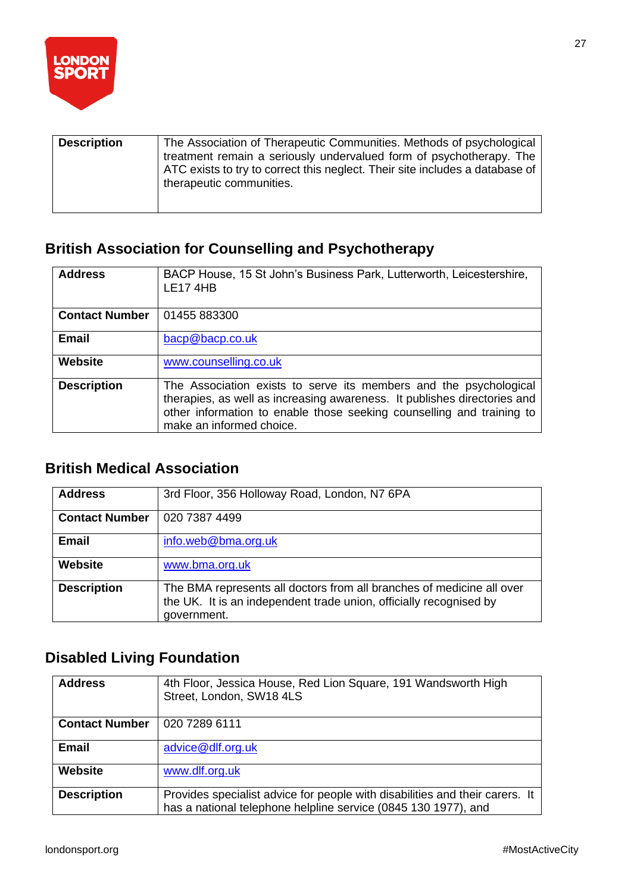

| <b>Description</b> | The Association of Therapeutic Communities. Methods of psychological<br>treatment remain a seriously undervalued form of psychotherapy. The<br>ATC exists to try to correct this neglect. Their site includes a database of<br>therapeutic communities. |
|--------------------|---------------------------------------------------------------------------------------------------------------------------------------------------------------------------------------------------------------------------------------------------------|
|                    |                                                                                                                                                                                                                                                         |

### **British Association for Counselling and Psychotherapy**

| <b>Address</b>        | BACP House, 15 St John's Business Park, Lutterworth, Leicestershire,<br><b>LE17 4HB</b>                                                                                                                                                            |
|-----------------------|----------------------------------------------------------------------------------------------------------------------------------------------------------------------------------------------------------------------------------------------------|
| <b>Contact Number</b> | 01455 883300                                                                                                                                                                                                                                       |
| <b>Email</b>          | bacp@bacp.co.uk                                                                                                                                                                                                                                    |
| <b>Website</b>        | www.counselling.co.uk                                                                                                                                                                                                                              |
| <b>Description</b>    | The Association exists to serve its members and the psychological<br>therapies, as well as increasing awareness. It publishes directories and<br>other information to enable those seeking counselling and training to<br>make an informed choice. |

### **British Medical Association**

| <b>Address</b>        | 3rd Floor, 356 Holloway Road, London, N7 6PA                                                                                                               |
|-----------------------|------------------------------------------------------------------------------------------------------------------------------------------------------------|
| <b>Contact Number</b> | 020 7387 4499                                                                                                                                              |
| <b>Email</b>          | info.web@bma.org.uk                                                                                                                                        |
| Website               | www.bma.org.uk                                                                                                                                             |
| <b>Description</b>    | The BMA represents all doctors from all branches of medicine all over<br>the UK. It is an independent trade union, officially recognised by<br>government. |

### **Disabled Living Foundation**

| <b>Address</b>        | 4th Floor, Jessica House, Red Lion Square, 191 Wandsworth High<br>Street, London, SW18 4LS                                                     |
|-----------------------|------------------------------------------------------------------------------------------------------------------------------------------------|
| <b>Contact Number</b> | 020 7289 6111                                                                                                                                  |
| <b>Email</b>          | advice@dlf.org.uk                                                                                                                              |
| <b>Website</b>        | www.dlf.org.uk                                                                                                                                 |
| <b>Description</b>    | Provides specialist advice for people with disabilities and their carers. It<br>has a national telephone helpline service (0845 130 1977), and |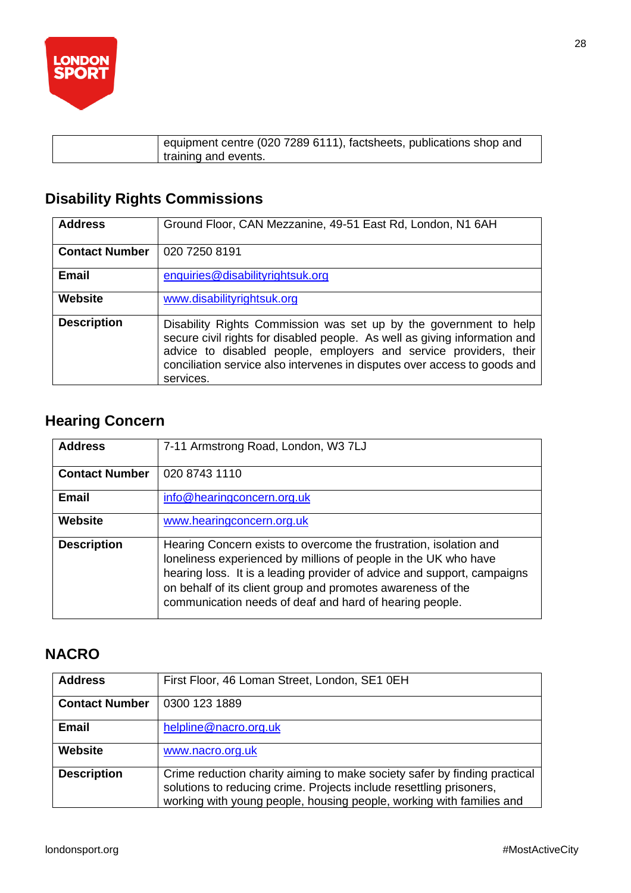

| equipment centre (020 7289 6111), factsheets, publications shop and<br>training and events. |
|---------------------------------------------------------------------------------------------|
|                                                                                             |

### **Disability Rights Commissions**

| <b>Address</b>        | Ground Floor, CAN Mezzanine, 49-51 East Rd, London, N1 6AH                                                                                                                                                                                                                                                     |
|-----------------------|----------------------------------------------------------------------------------------------------------------------------------------------------------------------------------------------------------------------------------------------------------------------------------------------------------------|
| <b>Contact Number</b> | 020 7250 8191                                                                                                                                                                                                                                                                                                  |
| <b>Email</b>          | enquiries@disabilityrightsuk.org                                                                                                                                                                                                                                                                               |
| <b>Website</b>        | www.disabilityrightsuk.org                                                                                                                                                                                                                                                                                     |
| <b>Description</b>    | Disability Rights Commission was set up by the government to help<br>secure civil rights for disabled people. As well as giving information and<br>advice to disabled people, employers and service providers, their<br>conciliation service also intervenes in disputes over access to goods and<br>services. |

### **Hearing Concern**

| <b>Address</b>        | 7-11 Armstrong Road, London, W3 7LJ                                                                                                                                                                                                                                                                                                       |
|-----------------------|-------------------------------------------------------------------------------------------------------------------------------------------------------------------------------------------------------------------------------------------------------------------------------------------------------------------------------------------|
| <b>Contact Number</b> | 020 8743 1110                                                                                                                                                                                                                                                                                                                             |
| <b>Email</b>          | info@hearingconcern.org.uk                                                                                                                                                                                                                                                                                                                |
| <b>Website</b>        | www.hearingconcern.org.uk                                                                                                                                                                                                                                                                                                                 |
| <b>Description</b>    | Hearing Concern exists to overcome the frustration, isolation and<br>loneliness experienced by millions of people in the UK who have<br>hearing loss. It is a leading provider of advice and support, campaigns<br>on behalf of its client group and promotes awareness of the<br>communication needs of deaf and hard of hearing people. |

### **NACRO**

| <b>Address</b>        | First Floor, 46 Loman Street, London, SE1 0EH                                                                                                                                                                            |
|-----------------------|--------------------------------------------------------------------------------------------------------------------------------------------------------------------------------------------------------------------------|
| <b>Contact Number</b> | 0300 123 1889                                                                                                                                                                                                            |
| <b>Email</b>          | helpline@nacro.org.uk                                                                                                                                                                                                    |
| Website               | www.nacro.org.uk                                                                                                                                                                                                         |
| <b>Description</b>    | Crime reduction charity aiming to make society safer by finding practical<br>solutions to reducing crime. Projects include resettling prisoners,<br>working with young people, housing people, working with families and |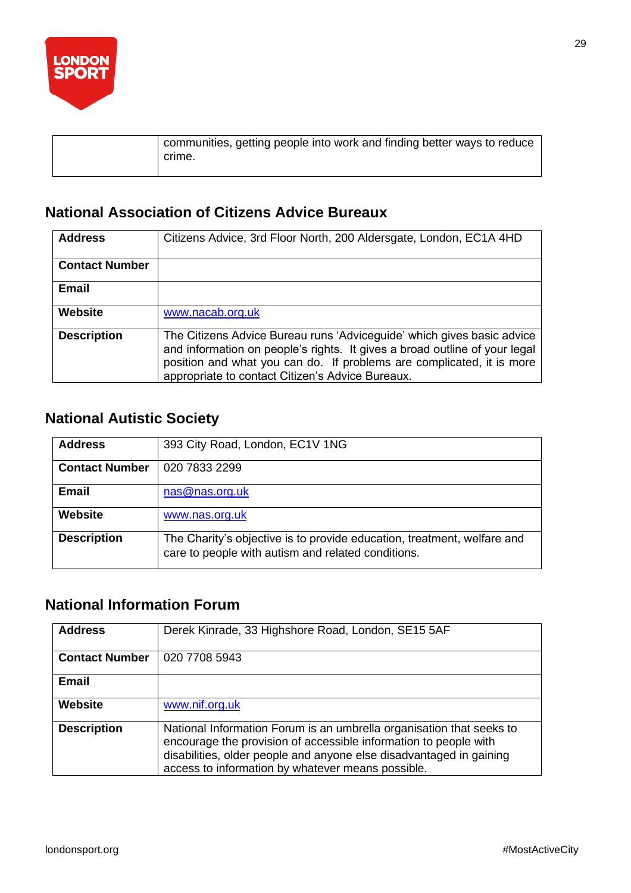

| communities, getting people into work and finding better ways to reduce<br>crime. |
|-----------------------------------------------------------------------------------|
|-----------------------------------------------------------------------------------|

### **National Association of Citizens Advice Bureaux**

| <b>Address</b>        | Citizens Advice, 3rd Floor North, 200 Aldersgate, London, EC1A 4HD                                                                                                                                                                                                                |
|-----------------------|-----------------------------------------------------------------------------------------------------------------------------------------------------------------------------------------------------------------------------------------------------------------------------------|
| <b>Contact Number</b> |                                                                                                                                                                                                                                                                                   |
| <b>Email</b>          |                                                                                                                                                                                                                                                                                   |
| <b>Website</b>        | www.nacab.org.uk                                                                                                                                                                                                                                                                  |
| <b>Description</b>    | The Citizens Advice Bureau runs 'Adviceguide' which gives basic advice<br>and information on people's rights. It gives a broad outline of your legal<br>position and what you can do. If problems are complicated, it is more<br>appropriate to contact Citizen's Advice Bureaux. |

### **National Autistic Society**

| <b>Address</b>        | 393 City Road, London, EC1V 1NG                                                                                               |
|-----------------------|-------------------------------------------------------------------------------------------------------------------------------|
| <b>Contact Number</b> | 020 7833 2299                                                                                                                 |
| Email                 | nas@nas.org.uk                                                                                                                |
| Website               | www.nas.org.uk                                                                                                                |
| <b>Description</b>    | The Charity's objective is to provide education, treatment, welfare and<br>care to people with autism and related conditions. |

### **National Information Forum**

| <b>Address</b>        | Derek Kinrade, 33 Highshore Road, London, SE15 5AF                                                                                                                                                                                                                   |
|-----------------------|----------------------------------------------------------------------------------------------------------------------------------------------------------------------------------------------------------------------------------------------------------------------|
| <b>Contact Number</b> | 020 7708 5943                                                                                                                                                                                                                                                        |
| <b>Email</b>          |                                                                                                                                                                                                                                                                      |
| <b>Website</b>        | www.nif.org.uk                                                                                                                                                                                                                                                       |
| <b>Description</b>    | National Information Forum is an umbrella organisation that seeks to<br>encourage the provision of accessible information to people with<br>disabilities, older people and anyone else disadvantaged in gaining<br>access to information by whatever means possible. |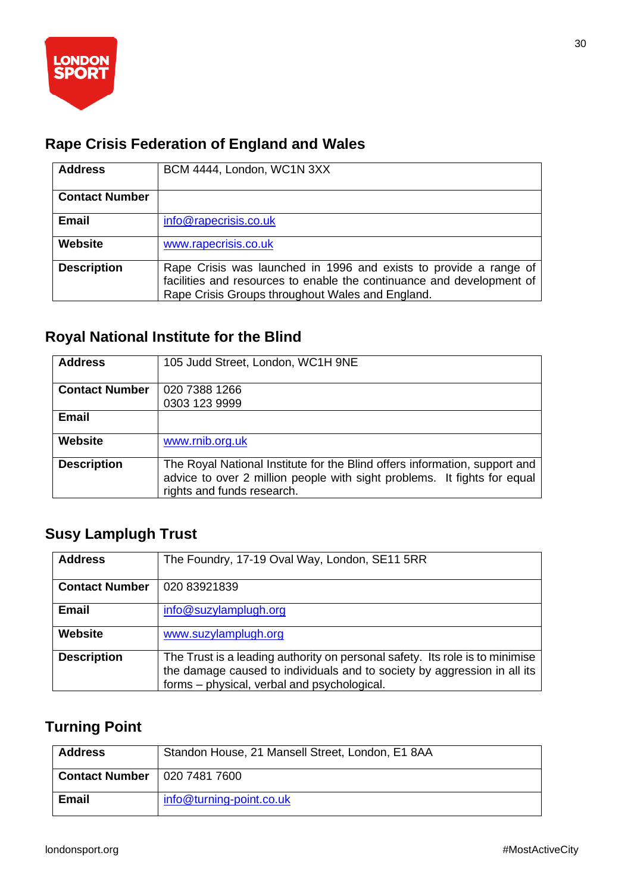

### **Rape Crisis Federation of England and Wales**

| <b>Address</b>        | BCM 4444, London, WC1N 3XX                                                                                                                                                                     |
|-----------------------|------------------------------------------------------------------------------------------------------------------------------------------------------------------------------------------------|
| <b>Contact Number</b> |                                                                                                                                                                                                |
| <b>Email</b>          | info@rapecrisis.co.uk                                                                                                                                                                          |
| <b>Website</b>        | www.rapecrisis.co.uk                                                                                                                                                                           |
| <b>Description</b>    | Rape Crisis was launched in 1996 and exists to provide a range of<br>facilities and resources to enable the continuance and development of<br>Rape Crisis Groups throughout Wales and England. |

### **Royal National Institute for the Blind**

| <b>Address</b>        | 105 Judd Street, London, WC1H 9NE                                                                                                                                                    |
|-----------------------|--------------------------------------------------------------------------------------------------------------------------------------------------------------------------------------|
| <b>Contact Number</b> | 020 7388 1266                                                                                                                                                                        |
|                       | 0303 123 9999                                                                                                                                                                        |
| <b>Email</b>          |                                                                                                                                                                                      |
| Website               | www.rnib.org.uk                                                                                                                                                                      |
| <b>Description</b>    | The Royal National Institute for the Blind offers information, support and<br>advice to over 2 million people with sight problems. It fights for equal<br>rights and funds research. |

### **Susy Lamplugh Trust**

| <b>Address</b>        | The Foundry, 17-19 Oval Way, London, SE11 5RR                                                                                                                                                           |
|-----------------------|---------------------------------------------------------------------------------------------------------------------------------------------------------------------------------------------------------|
| <b>Contact Number</b> | 020 83921839                                                                                                                                                                                            |
| Email                 | info@suzylamplugh.org                                                                                                                                                                                   |
| Website               | www.suzylamplugh.org                                                                                                                                                                                    |
| <b>Description</b>    | The Trust is a leading authority on personal safety. Its role is to minimise<br>the damage caused to individuals and to society by aggression in all its<br>forms – physical, verbal and psychological. |

### **Turning Point**

| <b>Address</b>        | Standon House, 21 Mansell Street, London, E1 8AA |
|-----------------------|--------------------------------------------------|
| <b>Contact Number</b> | 020 7481 7600                                    |
| <b>Email</b>          | info@turning-point.co.uk                         |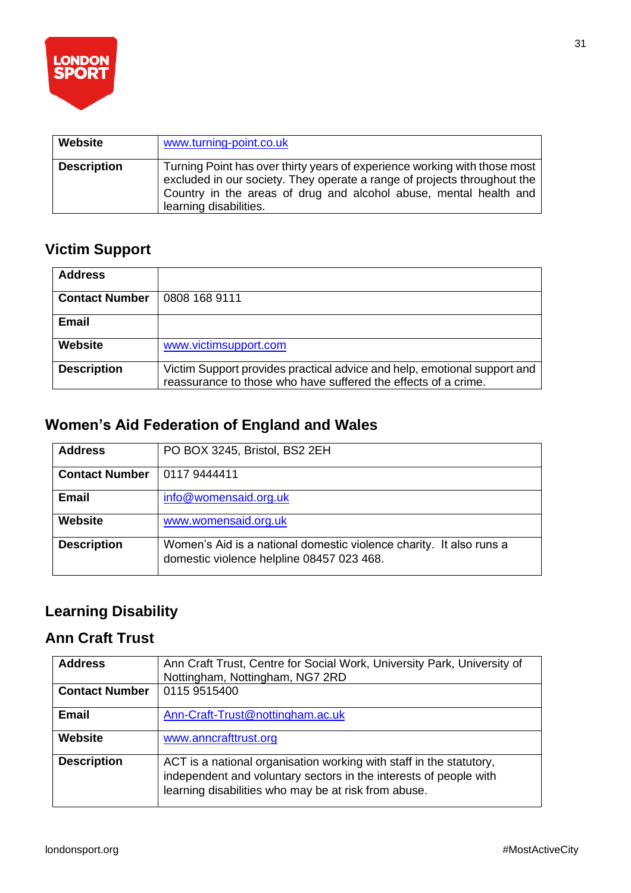

| <b>Website</b>     | www.turning-point.co.uk                                                                                                                                                                                                                              |
|--------------------|------------------------------------------------------------------------------------------------------------------------------------------------------------------------------------------------------------------------------------------------------|
| <b>Description</b> | Turning Point has over thirty years of experience working with those most<br>excluded in our society. They operate a range of projects throughout the<br>Country in the areas of drug and alcohol abuse, mental health and<br>learning disabilities. |

### **Victim Support**

| <b>Address</b>        |                                                                                                                                            |
|-----------------------|--------------------------------------------------------------------------------------------------------------------------------------------|
| <b>Contact Number</b> | 0808 168 9111                                                                                                                              |
| <b>Email</b>          |                                                                                                                                            |
| Website               | www.victimsupport.com                                                                                                                      |
| <b>Description</b>    | Victim Support provides practical advice and help, emotional support and<br>reassurance to those who have suffered the effects of a crime. |

### **Women's Aid Federation of England and Wales**

| <b>Address</b>        | PO BOX 3245, Bristol, BS2 2EH                                                                                    |
|-----------------------|------------------------------------------------------------------------------------------------------------------|
| <b>Contact Number</b> | 0117 9444411                                                                                                     |
| <b>Email</b>          | info@womensaid.org.uk                                                                                            |
| Website               | www.womensaid.org.uk                                                                                             |
| <b>Description</b>    | Women's Aid is a national domestic violence charity. It also runs a<br>domestic violence helpline 08457 023 468. |

### **Learning Disability**

### **Ann Craft Trust**

| <b>Address</b>        | Ann Craft Trust, Centre for Social Work, University Park, University of<br>Nottingham, Nottingham, NG7 2RD                                                                                       |
|-----------------------|--------------------------------------------------------------------------------------------------------------------------------------------------------------------------------------------------|
| <b>Contact Number</b> | 0115 9515400                                                                                                                                                                                     |
| Email                 | Ann-Craft-Trust@nottingham.ac.uk                                                                                                                                                                 |
| <b>Website</b>        | www.anncrafttrust.org                                                                                                                                                                            |
| <b>Description</b>    | ACT is a national organisation working with staff in the statutory,<br>independent and voluntary sectors in the interests of people with<br>learning disabilities who may be at risk from abuse. |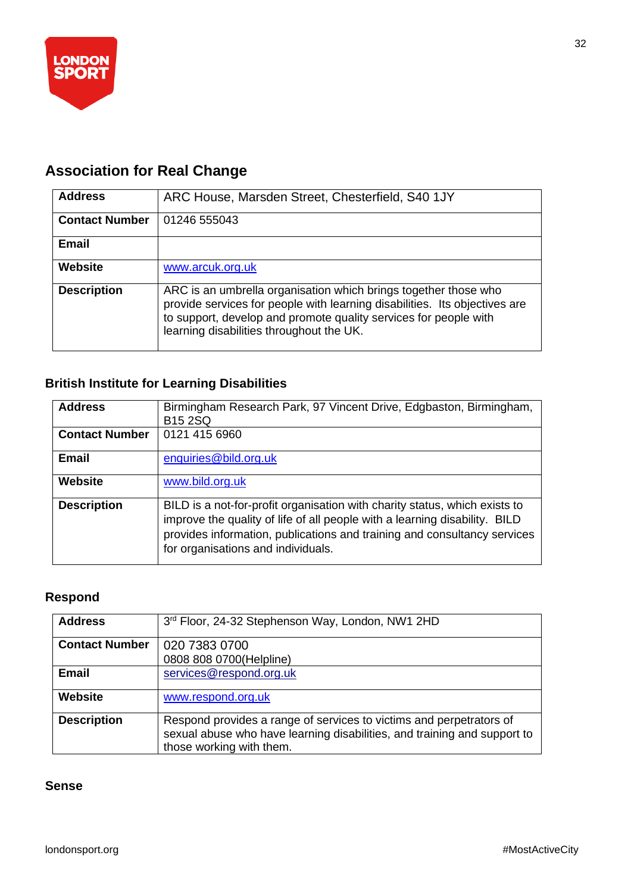

## **Association for Real Change**

| <b>Address</b>        | ARC House, Marsden Street, Chesterfield, S40 1JY                                                                                                                                                                                                              |
|-----------------------|---------------------------------------------------------------------------------------------------------------------------------------------------------------------------------------------------------------------------------------------------------------|
| <b>Contact Number</b> | 01246 555043                                                                                                                                                                                                                                                  |
| <b>Email</b>          |                                                                                                                                                                                                                                                               |
| <b>Website</b>        | www.arcuk.org.uk                                                                                                                                                                                                                                              |
| <b>Description</b>    | ARC is an umbrella organisation which brings together those who<br>provide services for people with learning disabilities. Its objectives are<br>to support, develop and promote quality services for people with<br>learning disabilities throughout the UK. |

### **British Institute for Learning Disabilities**

| <b>Address</b>        | Birmingham Research Park, 97 Vincent Drive, Edgbaston, Birmingham,<br><b>B15 2SQ</b>                                                                                                                                                                                       |
|-----------------------|----------------------------------------------------------------------------------------------------------------------------------------------------------------------------------------------------------------------------------------------------------------------------|
| <b>Contact Number</b> | 0121 415 6960                                                                                                                                                                                                                                                              |
| <b>Email</b>          | enquiries@bild.org.uk                                                                                                                                                                                                                                                      |
| <b>Website</b>        | www.bild.org.uk                                                                                                                                                                                                                                                            |
| <b>Description</b>    | BILD is a not-for-profit organisation with charity status, which exists to<br>improve the quality of life of all people with a learning disability. BILD<br>provides information, publications and training and consultancy services<br>for organisations and individuals. |

#### **Respond**

| <b>Address</b>        | 3rd Floor, 24-32 Stephenson Way, London, NW1 2HD                                                                                                                            |
|-----------------------|-----------------------------------------------------------------------------------------------------------------------------------------------------------------------------|
| <b>Contact Number</b> | 020 7383 0700<br>0808 808 0700(Helpline)                                                                                                                                    |
| <b>Email</b>          | services@respond.org.uk                                                                                                                                                     |
| <b>Website</b>        | www.respond.org.uk                                                                                                                                                          |
| <b>Description</b>    | Respond provides a range of services to victims and perpetrators of<br>sexual abuse who have learning disabilities, and training and support to<br>those working with them. |

#### **Sense**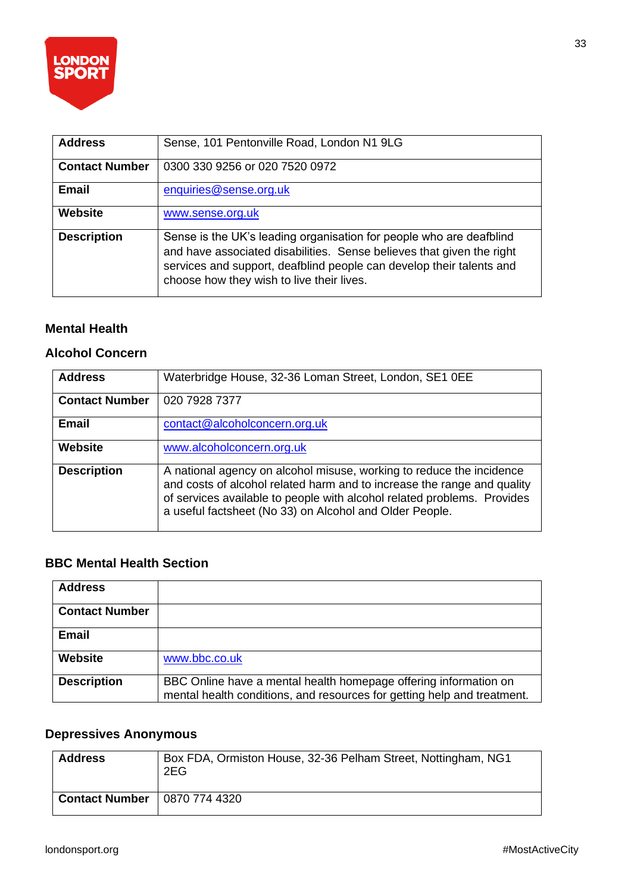

| <b>Address</b>        | Sense, 101 Pentonville Road, London N1 9LG                                                                                                                                                                                                                        |
|-----------------------|-------------------------------------------------------------------------------------------------------------------------------------------------------------------------------------------------------------------------------------------------------------------|
| <b>Contact Number</b> | 0300 330 9256 or 020 7520 0972                                                                                                                                                                                                                                    |
| <b>Email</b>          | enquiries@sense.org.uk                                                                                                                                                                                                                                            |
| <b>Website</b>        | www.sense.org.uk                                                                                                                                                                                                                                                  |
| <b>Description</b>    | Sense is the UK's leading organisation for people who are deafblind<br>and have associated disabilities. Sense believes that given the right<br>services and support, deafblind people can develop their talents and<br>choose how they wish to live their lives. |

#### **Mental Health**

#### **Alcohol Concern**

| <b>Address</b>        | Waterbridge House, 32-36 Loman Street, London, SE1 0EE                                                                                                                                                                                                                                |
|-----------------------|---------------------------------------------------------------------------------------------------------------------------------------------------------------------------------------------------------------------------------------------------------------------------------------|
| <b>Contact Number</b> | 020 7928 7377                                                                                                                                                                                                                                                                         |
| <b>Email</b>          | contact@alcoholconcern.org.uk                                                                                                                                                                                                                                                         |
| <b>Website</b>        | www.alcoholconcern.org.uk                                                                                                                                                                                                                                                             |
| <b>Description</b>    | A national agency on alcohol misuse, working to reduce the incidence<br>and costs of alcohol related harm and to increase the range and quality<br>of services available to people with alcohol related problems. Provides<br>a useful factsheet (No 33) on Alcohol and Older People. |

#### **BBC Mental Health Section**

| <b>Address</b>        |                                                                                                                                             |
|-----------------------|---------------------------------------------------------------------------------------------------------------------------------------------|
| <b>Contact Number</b> |                                                                                                                                             |
| <b>Email</b>          |                                                                                                                                             |
| Website               | www.bbc.co.uk                                                                                                                               |
| <b>Description</b>    | BBC Online have a mental health homepage offering information on<br>mental health conditions, and resources for getting help and treatment. |

#### **Depressives Anonymous**

| <b>Address</b>        | Box FDA, Ormiston House, 32-36 Pelham Street, Nottingham, NG1<br>2EG |
|-----------------------|----------------------------------------------------------------------|
| <b>Contact Number</b> | 0870 774 4320                                                        |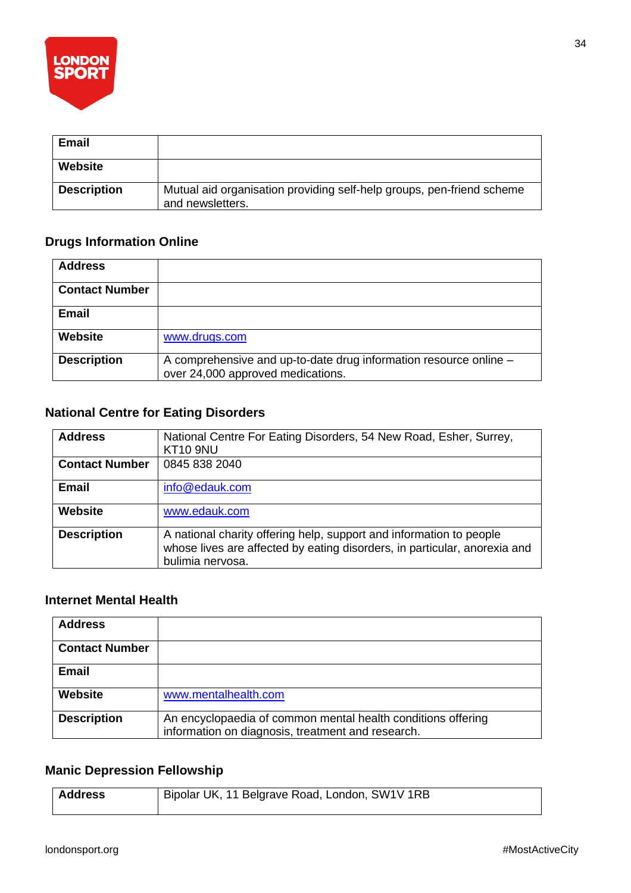

| <b>Email</b>       |                                                                                           |
|--------------------|-------------------------------------------------------------------------------------------|
| Website            |                                                                                           |
| <b>Description</b> | Mutual aid organisation providing self-help groups, pen-friend scheme<br>and newsletters. |

### **Drugs Information Online**

| <b>Address</b>        |                                                                                                        |
|-----------------------|--------------------------------------------------------------------------------------------------------|
| <b>Contact Number</b> |                                                                                                        |
| Email                 |                                                                                                        |
| Website               | www.drugs.com                                                                                          |
| <b>Description</b>    | A comprehensive and up-to-date drug information resource online -<br>over 24,000 approved medications. |

#### **National Centre for Eating Disorders**

| <b>Address</b>        | National Centre For Eating Disorders, 54 New Road, Esher, Surrey,<br><b>KT10 9NU</b>                                                                                 |
|-----------------------|----------------------------------------------------------------------------------------------------------------------------------------------------------------------|
| <b>Contact Number</b> | 0845 838 2040                                                                                                                                                        |
| <b>Email</b>          | info@edauk.com                                                                                                                                                       |
| <b>Website</b>        | www.edauk.com                                                                                                                                                        |
| <b>Description</b>    | A national charity offering help, support and information to people<br>whose lives are affected by eating disorders, in particular, anorexia and<br>bulimia nervosa. |

#### **Internet Mental Health**

| <b>Address</b>        |                                                                                                                   |
|-----------------------|-------------------------------------------------------------------------------------------------------------------|
| <b>Contact Number</b> |                                                                                                                   |
| Email                 |                                                                                                                   |
| Website               | www.mentalhealth.com                                                                                              |
| <b>Description</b>    | An encyclopaedia of common mental health conditions offering<br>information on diagnosis, treatment and research. |

#### **Manic Depression Fellowship**

| <b>Address</b> | Bipolar UK, 11 Belgrave Road, London, SW1V 1RB |
|----------------|------------------------------------------------|
|                |                                                |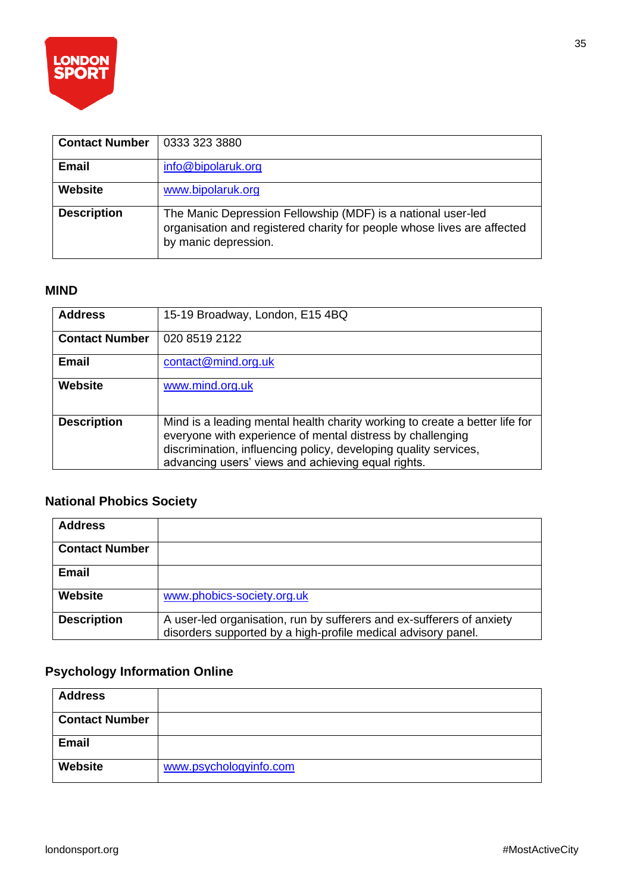

| <b>Contact Number</b> | 0333 323 3880                                                                                                                                                   |
|-----------------------|-----------------------------------------------------------------------------------------------------------------------------------------------------------------|
| Email                 | info@bipolaruk.org                                                                                                                                              |
| Website               | www.bipolaruk.org                                                                                                                                               |
| <b>Description</b>    | The Manic Depression Fellowship (MDF) is a national user-led<br>organisation and registered charity for people whose lives are affected<br>by manic depression. |

#### **MIND**

| <b>Address</b>        | 15-19 Broadway, London, E15 4BQ                                                                                                                                                                                                                                     |
|-----------------------|---------------------------------------------------------------------------------------------------------------------------------------------------------------------------------------------------------------------------------------------------------------------|
| <b>Contact Number</b> | 020 8519 2122                                                                                                                                                                                                                                                       |
| Email                 | contact@mind.org.uk                                                                                                                                                                                                                                                 |
| <b>Website</b>        | www.mind.org.uk                                                                                                                                                                                                                                                     |
| <b>Description</b>    | Mind is a leading mental health charity working to create a better life for<br>everyone with experience of mental distress by challenging<br>discrimination, influencing policy, developing quality services,<br>advancing users' views and achieving equal rights. |

### **National Phobics Society**

| <b>Address</b>        |                                                                                                                                        |
|-----------------------|----------------------------------------------------------------------------------------------------------------------------------------|
| <b>Contact Number</b> |                                                                                                                                        |
| <b>Email</b>          |                                                                                                                                        |
| Website               | www.phobics-society.org.uk                                                                                                             |
| <b>Description</b>    | A user-led organisation, run by sufferers and ex-sufferers of anxiety<br>disorders supported by a high-profile medical advisory panel. |

### **Psychology Information Online**

| <b>Address</b>        |                        |
|-----------------------|------------------------|
| <b>Contact Number</b> |                        |
| <b>Email</b>          |                        |
| <b>Website</b>        | www.psychologyinfo.com |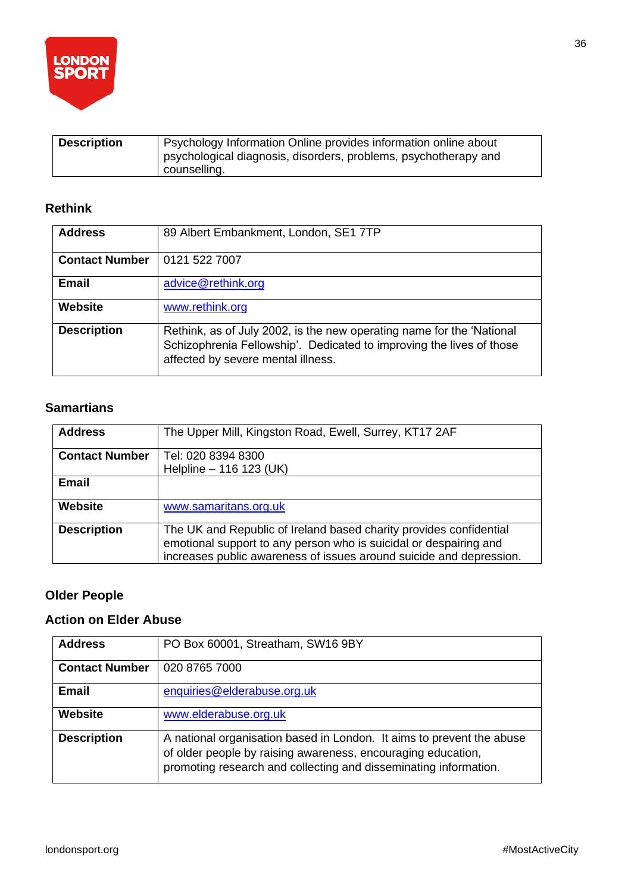

| <b>Description</b> | Psychology Information Online provides information online about |
|--------------------|-----------------------------------------------------------------|
|                    | psychological diagnosis, disorders, problems, psychotherapy and |
|                    | counselling.                                                    |

#### **Rethink**

| <b>Address</b>        | 89 Albert Embankment, London, SE1 7TP                                                                                                                                               |
|-----------------------|-------------------------------------------------------------------------------------------------------------------------------------------------------------------------------------|
| <b>Contact Number</b> | 0121 522 7007                                                                                                                                                                       |
| <b>Email</b>          | advice@rethink.org                                                                                                                                                                  |
| Website               | www.rethink.org                                                                                                                                                                     |
| <b>Description</b>    | Rethink, as of July 2002, is the new operating name for the 'National<br>Schizophrenia Fellowship'. Dedicated to improving the lives of those<br>affected by severe mental illness. |

#### **Samartians**

| <b>Address</b>        | The Upper Mill, Kingston Road, Ewell, Surrey, KT17 2AF                                                                                                                                                         |
|-----------------------|----------------------------------------------------------------------------------------------------------------------------------------------------------------------------------------------------------------|
| <b>Contact Number</b> | Tel: 020 8394 8300                                                                                                                                                                                             |
|                       | Helpline - 116 123 (UK)                                                                                                                                                                                        |
| <b>Email</b>          |                                                                                                                                                                                                                |
| Website               | www.samaritans.org.uk                                                                                                                                                                                          |
| <b>Description</b>    | The UK and Republic of Ireland based charity provides confidential<br>emotional support to any person who is suicidal or despairing and<br>increases public awareness of issues around suicide and depression. |

#### **Older People**

#### **Action on Elder Abuse**

| <b>Address</b>        | PO Box 60001, Streatham, SW16 9BY                                                                                                                                                                         |
|-----------------------|-----------------------------------------------------------------------------------------------------------------------------------------------------------------------------------------------------------|
| <b>Contact Number</b> | 020 8765 7000                                                                                                                                                                                             |
| <b>Email</b>          | enquiries@elderabuse.org.uk                                                                                                                                                                               |
| <b>Website</b>        | www.elderabuse.org.uk                                                                                                                                                                                     |
| <b>Description</b>    | A national organisation based in London. It aims to prevent the abuse<br>of older people by raising awareness, encouraging education,<br>promoting research and collecting and disseminating information. |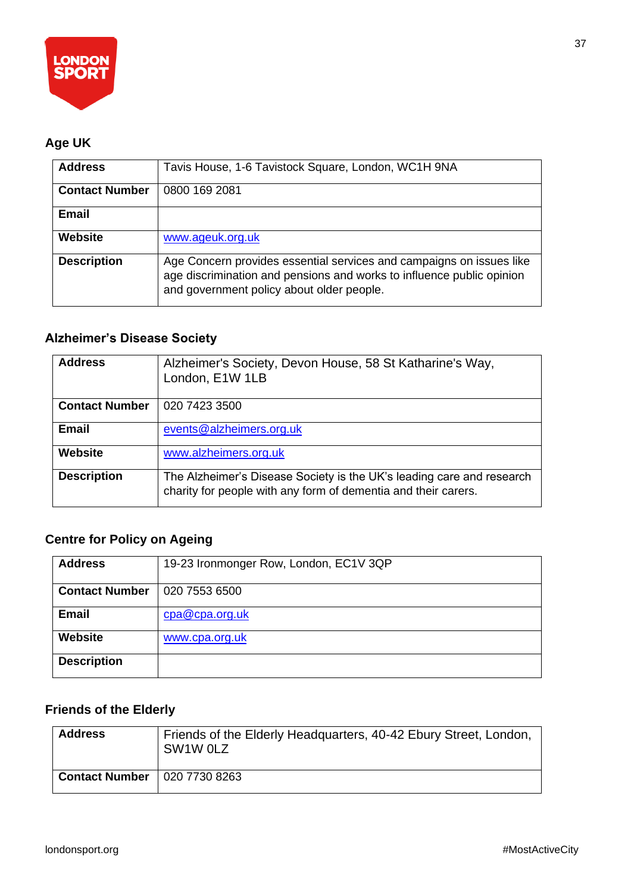

### **Age UK**

| <b>Address</b>        | Tavis House, 1-6 Tavistock Square, London, WC1H 9NA                                                                                                                                        |
|-----------------------|--------------------------------------------------------------------------------------------------------------------------------------------------------------------------------------------|
| <b>Contact Number</b> | 0800 169 2081                                                                                                                                                                              |
| <b>Email</b>          |                                                                                                                                                                                            |
| <b>Website</b>        | www.ageuk.org.uk                                                                                                                                                                           |
| <b>Description</b>    | Age Concern provides essential services and campaigns on issues like<br>age discrimination and pensions and works to influence public opinion<br>and government policy about older people. |

### **Alzheimer's Disease Society**

| <b>Address</b>        | Alzheimer's Society, Devon House, 58 St Katharine's Way,<br>London, E1W 1LB                                                             |
|-----------------------|-----------------------------------------------------------------------------------------------------------------------------------------|
| <b>Contact Number</b> | 020 7423 3500                                                                                                                           |
| <b>Email</b>          | events@alzheimers.org.uk                                                                                                                |
| <b>Website</b>        | www.alzheimers.org.uk                                                                                                                   |
| <b>Description</b>    | The Alzheimer's Disease Society is the UK's leading care and research<br>charity for people with any form of dementia and their carers. |

### **Centre for Policy on Ageing**

| <b>Address</b>        | 19-23 Ironmonger Row, London, EC1V 3QP |
|-----------------------|----------------------------------------|
|                       |                                        |
|                       |                                        |
| <b>Contact Number</b> | 020 7553 6500                          |
|                       |                                        |
|                       |                                        |
| <b>Email</b>          | cpa@cpa.org.uk                         |
|                       |                                        |
|                       |                                        |
| <b>Website</b>        | www.cpa.org.uk                         |
|                       |                                        |
|                       |                                        |
| <b>Description</b>    |                                        |
|                       |                                        |
|                       |                                        |

### **Friends of the Elderly**

| <b>Address</b>        | Friends of the Elderly Headquarters, 40-42 Ebury Street, London,<br>SW1W 0LZ |
|-----------------------|------------------------------------------------------------------------------|
| <b>Contact Number</b> | 020 7730 8263                                                                |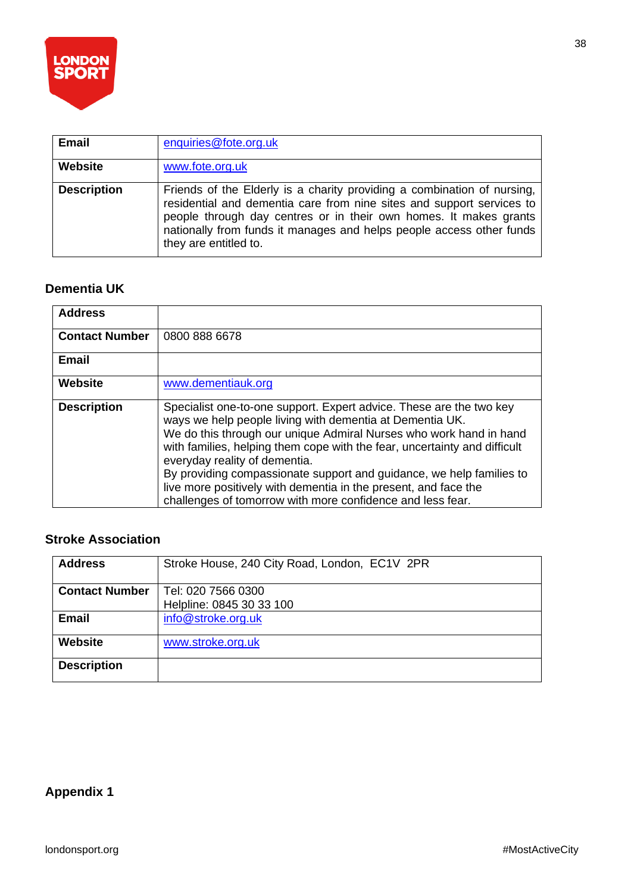

| <b>Email</b>       | enquiries@fote.org.uk                                                                                                                                                                                                                                                                                                  |
|--------------------|------------------------------------------------------------------------------------------------------------------------------------------------------------------------------------------------------------------------------------------------------------------------------------------------------------------------|
| Website            | www.fote.org.uk                                                                                                                                                                                                                                                                                                        |
| <b>Description</b> | Friends of the Elderly is a charity providing a combination of nursing,<br>residential and dementia care from nine sites and support services to<br>people through day centres or in their own homes. It makes grants<br>nationally from funds it manages and helps people access other funds<br>they are entitled to. |

#### **Dementia UK**

| <b>Address</b>        |                                                                                                                                                                                                                                                                                                                                                                                                                                                                                                                              |
|-----------------------|------------------------------------------------------------------------------------------------------------------------------------------------------------------------------------------------------------------------------------------------------------------------------------------------------------------------------------------------------------------------------------------------------------------------------------------------------------------------------------------------------------------------------|
| <b>Contact Number</b> | 0800 888 6678                                                                                                                                                                                                                                                                                                                                                                                                                                                                                                                |
| <b>Email</b>          |                                                                                                                                                                                                                                                                                                                                                                                                                                                                                                                              |
| Website               | www.dementiauk.org                                                                                                                                                                                                                                                                                                                                                                                                                                                                                                           |
| <b>Description</b>    | Specialist one-to-one support. Expert advice. These are the two key<br>ways we help people living with dementia at Dementia UK.<br>We do this through our unique Admiral Nurses who work hand in hand<br>with families, helping them cope with the fear, uncertainty and difficult<br>everyday reality of dementia.<br>By providing compassionate support and guidance, we help families to<br>live more positively with dementia in the present, and face the<br>challenges of tomorrow with more confidence and less fear. |

#### **Stroke Association**

| <b>Address</b>        | Stroke House, 240 City Road, London, EC1V 2PR |
|-----------------------|-----------------------------------------------|
| <b>Contact Number</b> | Tel: 020 7566 0300                            |
|                       | Helpline: 0845 30 33 100                      |
| <b>Email</b>          | info@stroke.org.uk                            |
| <b>Website</b>        | www.stroke.org.uk                             |
| <b>Description</b>    |                                               |

### **Appendix 1**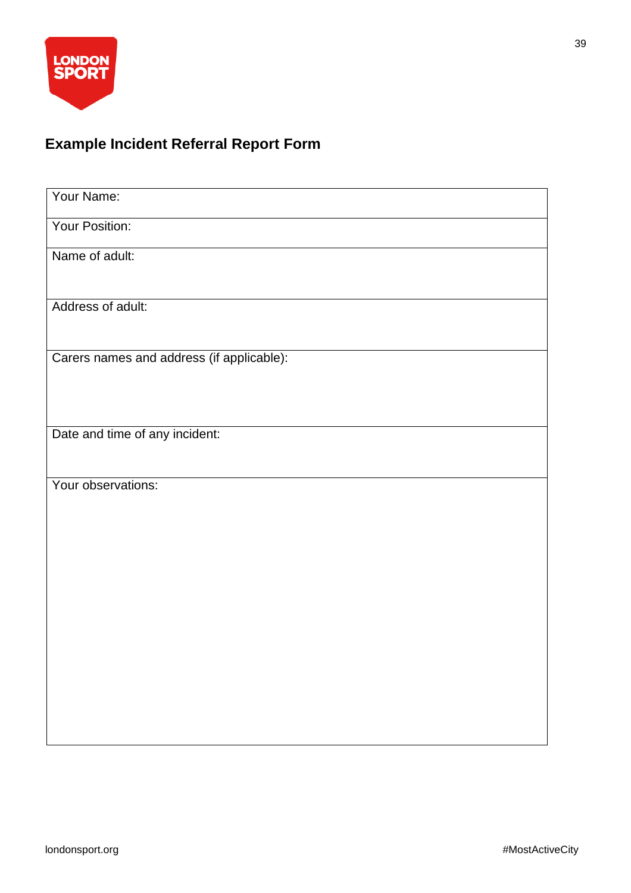

### **Example Incident Referral Report Form**

| Your Name:                                |
|-------------------------------------------|
| Your Position:                            |
| Name of adult:                            |
|                                           |
| Address of adult:                         |
|                                           |
| Carers names and address (if applicable): |
|                                           |
| Date and time of any incident:            |
|                                           |
| Your observations:                        |
|                                           |
|                                           |
|                                           |
|                                           |
|                                           |
|                                           |
|                                           |
|                                           |
|                                           |
|                                           |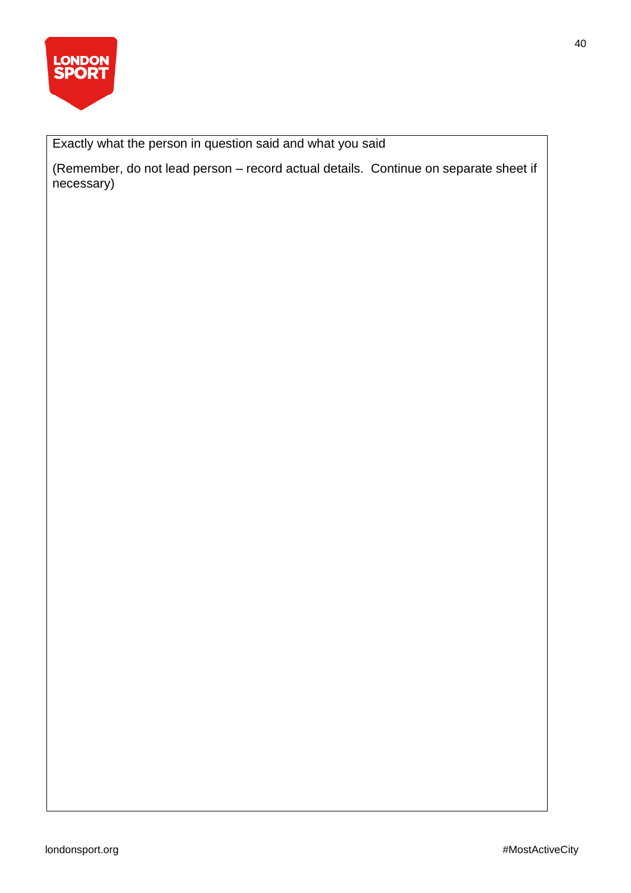

Exactly what the person in question said and what you said

(Remember, do not lead person – record actual details. Continue on separate sheet if necessary)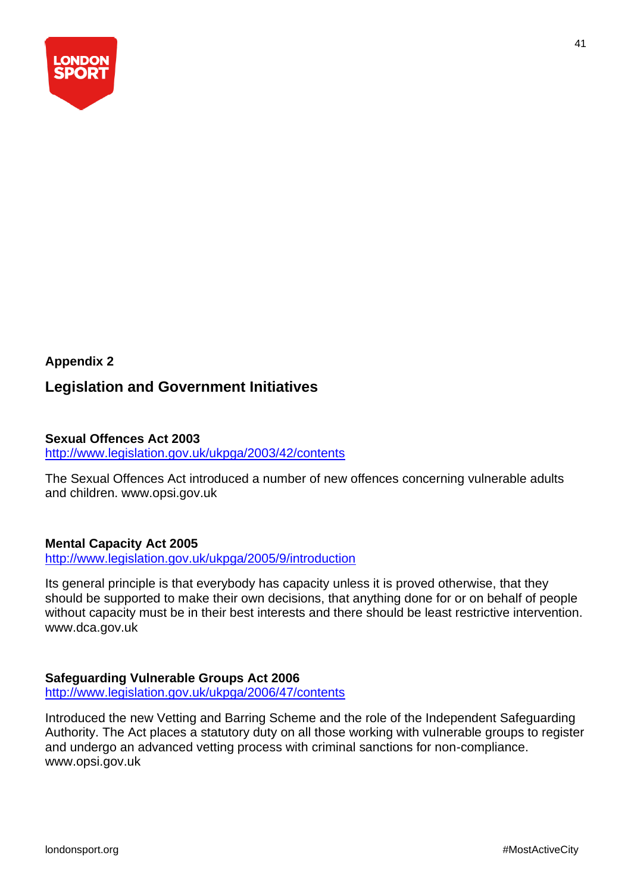

## **Appendix 2 Legislation and Government Initiatives**

#### **Sexual Offences Act 2003**

<http://www.legislation.gov.uk/ukpga/2003/42/contents>

The Sexual Offences Act introduced a number of new offences concerning vulnerable adults and children. www.opsi.gov.uk

#### **Mental Capacity Act 2005**

<http://www.legislation.gov.uk/ukpga/2005/9/introduction>

Its general principle is that everybody has capacity unless it is proved otherwise, that they should be supported to make their own decisions, that anything done for or on behalf of people without capacity must be in their best interests and there should be least restrictive intervention. www.dca.gov.uk

#### **Safeguarding Vulnerable Groups Act 2006**

<http://www.legislation.gov.uk/ukpga/2006/47/contents>

Introduced the new Vetting and Barring Scheme and the role of the Independent Safeguarding Authority. The Act places a statutory duty on all those working with vulnerable groups to register and undergo an advanced vetting process with criminal sanctions for non-compliance. www.opsi.gov.uk